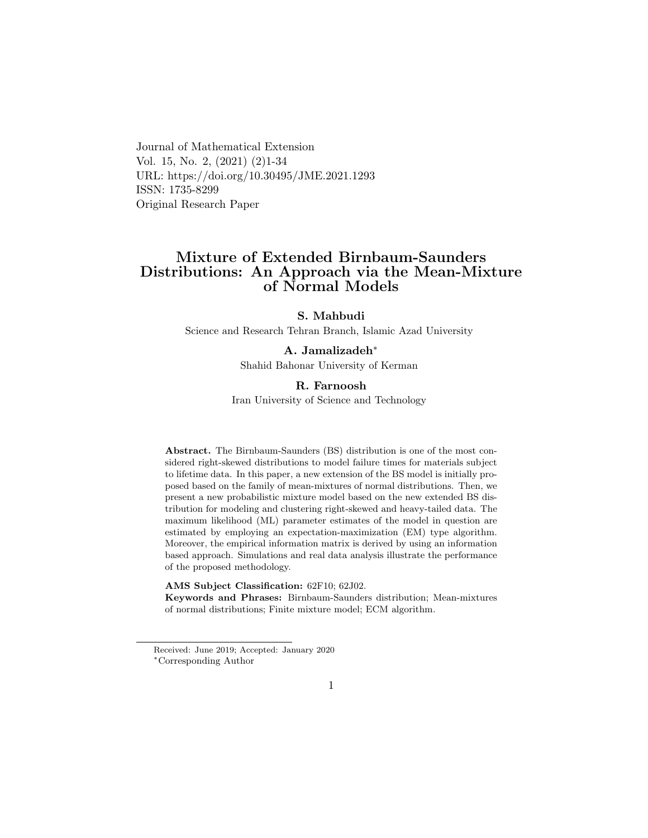Journal of Mathematical Extension Vol. 15, No. 2, (2021) (2)1-34 URL: https://doi.org/10.30495/JME.2021.1293 ISSN: 1735-8299 Original Research Paper

## Mixture of Extended Birnbaum-Saunders Distributions: An Approach via the Mean-Mixture of Normal Models

#### S. Mahbudi

Science and Research Tehran Branch, Islamic Azad University

#### A. Jamalizadeh[∗](#page-0-0)

Shahid Bahonar University of Kerman

#### R. Farnoosh

Iran University of Science and Technology

Abstract. The Birnbaum-Saunders (BS) distribution is one of the most considered right-skewed distributions to model failure times for materials subject to lifetime data. In this paper, a new extension of the BS model is initially proposed based on the family of mean-mixtures of normal distributions. Then, we present a new probabilistic mixture model based on the new extended BS distribution for modeling and clustering right-skewed and heavy-tailed data. The maximum likelihood (ML) parameter estimates of the model in question are estimated by employing an expectation-maximization (EM) type algorithm. Moreover, the empirical information matrix is derived by using an information based approach. Simulations and real data analysis illustrate the performance of the proposed methodology.

#### AMS Subject Classification: 62F10; 62J02.

Keywords and Phrases: Birnbaum-Saunders distribution; Mean-mixtures of normal distributions; Finite mixture model; ECM algorithm.

<span id="page-0-0"></span>Received: June 2019; Accepted: January 2020 <sup>∗</sup>Corresponding Author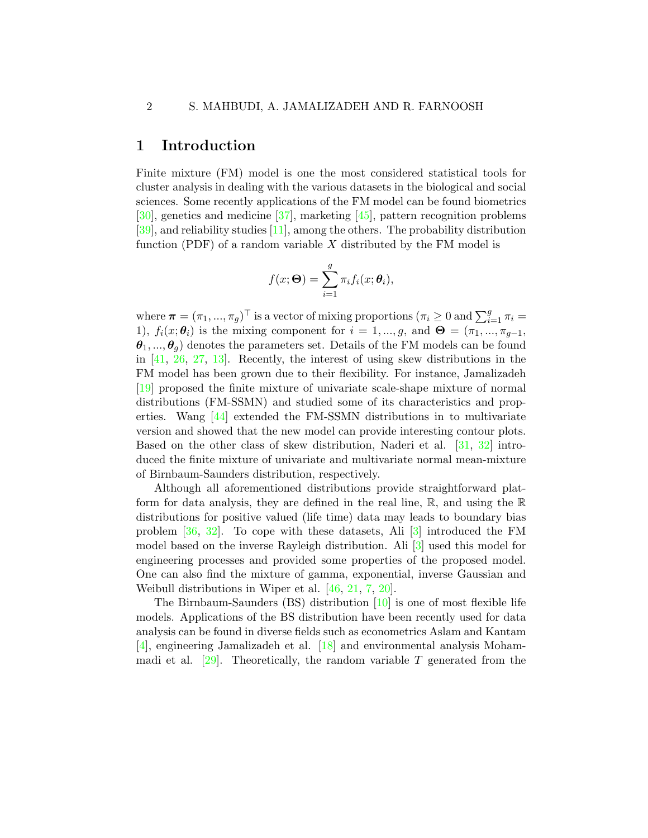### 1 Introduction

Finite mixture (FM) model is one the most considered statistical tools for cluster analysis in dealing with the various datasets in the biological and social sciences. Some recently applications of the FM model can be found biometrics [\[30\]](#page-31-0), genetics and medicine [\[37\]](#page-31-1), marketing [\[45\]](#page-32-0), pattern recognition problems [\[39\]](#page-31-2), and reliability studies [\[11\]](#page-29-0), among the others. The probability distribution function (PDF) of a random variable  $X$  distributed by the FM model is

$$
f(x; \mathbf{\Theta}) = \sum_{i=1}^{g} \pi_i f_i(x; \theta_i),
$$

where  $\boldsymbol{\pi} = (\pi_1, ..., \pi_g)^\top$  is a vector of mixing proportions  $(\pi_i \geq 0 \text{ and } \sum_{i=1}^g \pi_i =$ 1),  $f_i(x; \theta_i)$  is the mixing component for  $i = 1, ..., g$ , and  $\Theta = (\pi_1, ..., \pi_{g-1},$  $\theta_1, ..., \theta_q$  denotes the parameters set. Details of the FM models can be found in [\[41,](#page-32-1) [26,](#page-30-0) [27,](#page-30-1) [13\]](#page-29-1). Recently, the interest of using skew distributions in the FM model has been grown due to their flexibility. For instance, Jamalizadeh [\[19\]](#page-30-2) proposed the finite mixture of univariate scale-shape mixture of normal distributions (FM-SSMN) and studied some of its characteristics and properties. Wang [\[44\]](#page-32-2) extended the FM-SSMN distributions in to multivariate version and showed that the new model can provide interesting contour plots. Based on the other class of skew distribution, Naderi et al. [\[31,](#page-31-3) [32\]](#page-31-4) introduced the finite mixture of univariate and multivariate normal mean-mixture of Birnbaum-Saunders distribution, respectively.

Although all aforementioned distributions provide straightforward platform for data analysis, they are defined in the real line,  $\mathbb{R}$ , and using the  $\mathbb{R}$ distributions for positive valued (life time) data may leads to boundary bias problem [\[36,](#page-31-5) [32\]](#page-31-4). To cope with these datasets, Ali [\[3\]](#page-28-0) introduced the FM model based on the inverse Rayleigh distribution. Ali [\[3\]](#page-28-0) used this model for engineering processes and provided some properties of the proposed model. One can also find the mixture of gamma, exponential, inverse Gaussian and Weibull distributions in Wiper et al. [\[46,](#page-32-3) [21,](#page-30-3) [7,](#page-28-1) [20\]](#page-30-4).

The Birnbaum-Saunders (BS) distribution [\[10\]](#page-29-2) is one of most flexible life models. Applications of the BS distribution have been recently used for data analysis can be found in diverse fields such as econometrics Aslam and Kantam [\[4\]](#page-28-2), engineering Jamalizadeh et al. [\[18\]](#page-29-3) and environmental analysis Mohammadi et al.  $\left[29\right]$ . Theoretically, the random variable T generated from the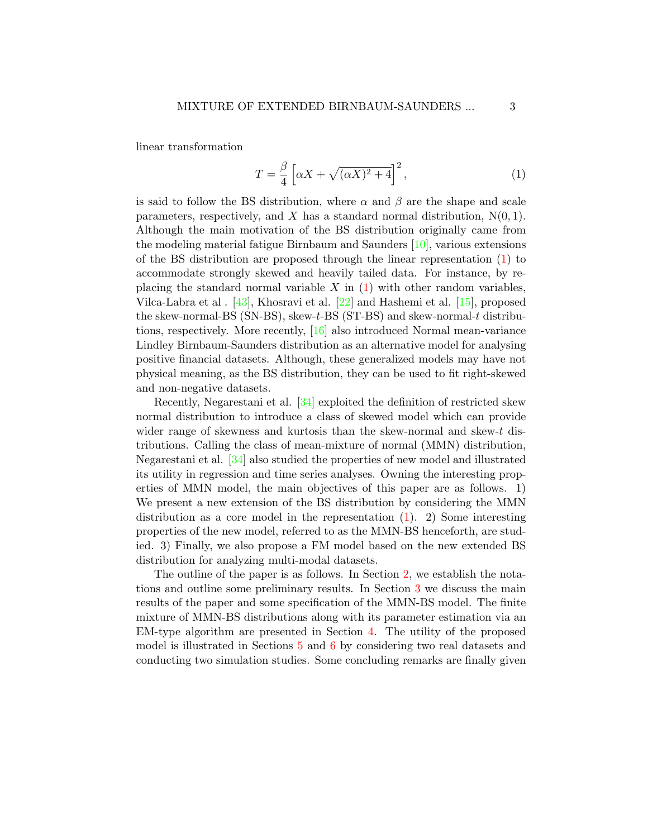linear transformation

<span id="page-2-0"></span>
$$
T = \frac{\beta}{4} \left[ \alpha X + \sqrt{(\alpha X)^2 + 4} \right]^2,\tag{1}
$$

is said to follow the BS distribution, where  $\alpha$  and  $\beta$  are the shape and scale parameters, respectively, and X has a standard normal distribution,  $N(0, 1)$ . Although the main motivation of the BS distribution originally came from the modeling material fatigue Birnbaum and Saunders [\[10\]](#page-29-2), various extensions of the BS distribution are proposed through the linear representation [\(1\)](#page-2-0) to accommodate strongly skewed and heavily tailed data. For instance, by replacing the standard normal variable  $X$  in  $(1)$  with other random variables, Vilca-Labra et al . [\[43\]](#page-32-4), Khosravi et al. [\[22\]](#page-30-6) and Hashemi et al. [\[15\]](#page-29-4), proposed the skew-normal-BS (SN-BS), skew-t-BS (ST-BS) and skew-normal-t distributions, respectively. More recently, [\[16\]](#page-29-5) also introduced Normal mean-variance Lindley Birnbaum-Saunders distribution as an alternative model for analysing positive financial datasets. Although, these generalized models may have not physical meaning, as the BS distribution, they can be used to fit right-skewed and non-negative datasets.

Recently, Negarestani et al. [\[34\]](#page-31-6) exploited the definition of restricted skew normal distribution to introduce a class of skewed model which can provide wider range of skewness and kurtosis than the skew-normal and skew-t distributions. Calling the class of mean-mixture of normal (MMN) distribution, Negarestani et al. [\[34\]](#page-31-6) also studied the properties of new model and illustrated its utility in regression and time series analyses. Owning the interesting properties of MMN model, the main objectives of this paper are as follows. 1) We present a new extension of the BS distribution by considering the MMN distribution as a core model in the representation [\(1\)](#page-2-0). 2) Some interesting properties of the new model, referred to as the MMN-BS henceforth, are studied. 3) Finally, we also propose a FM model based on the new extended BS distribution for analyzing multi-modal datasets.

The outline of the paper is as follows. In Section [2,](#page-3-0) we establish the notations and outline some preliminary results. In Section [3](#page-6-0) we discuss the main results of the paper and some specification of the MMN-BS model. The finite mixture of MMN-BS distributions along with its parameter estimation via an EM-type algorithm are presented in Section [4.](#page-13-0) The utility of the proposed model is illustrated in Sections [5](#page-19-0) and [6](#page-22-0) by considering two real datasets and conducting two simulation studies. Some concluding remarks are finally given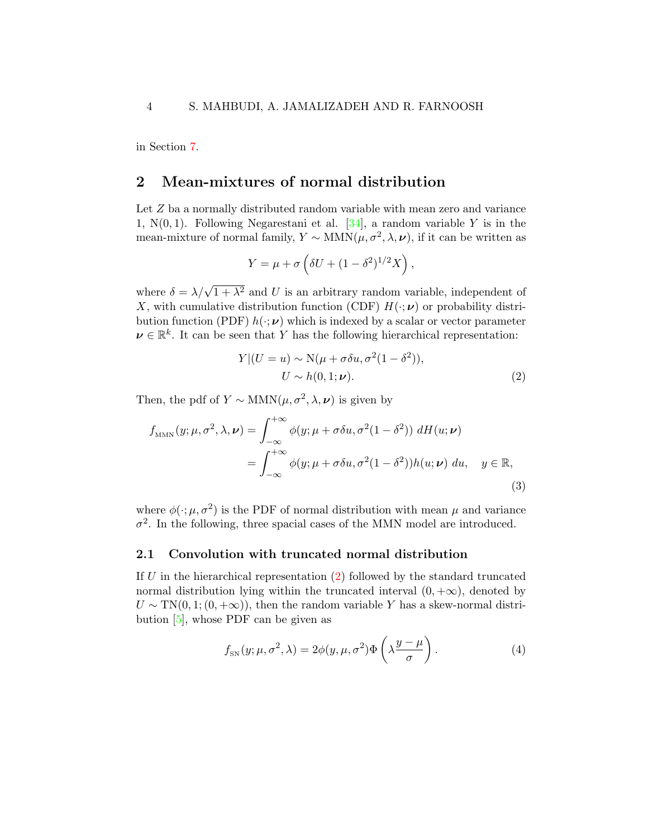in Section [7.](#page-25-0)

### <span id="page-3-0"></span>2 Mean-mixtures of normal distribution

Let Z ba a normally distributed random variable with mean zero and variance 1,  $N(0, 1)$ . Following Negarestani et al. [\[34\]](#page-31-6), a random variable Y is in the mean-mixture of normal family,  $Y \sim \text{MMN}(\mu, \sigma^2, \lambda, \nu)$ , if it can be written as

$$
Y = \mu + \sigma \left( \delta U + (1 - \delta^2)^{1/2} X \right),
$$

where  $\delta = \lambda/\sqrt{1 + \lambda^2}$  and U is an arbitrary random variable, independent of X, with cumulative distribution function (CDF)  $H(\cdot;\nu)$  or probability distribution function (PDF)  $h(\cdot;\nu)$  which is indexed by a scalar or vector parameter  $\mathbf{v} \in \mathbb{R}^k$ . It can be seen that Y has the following hierarchical representation:

<span id="page-3-3"></span><span id="page-3-1"></span>
$$
Y|(U = u) \sim N(\mu + \sigma \delta u, \sigma^2(1 - \delta^2)),
$$
  
\n
$$
U \sim h(0, 1; \nu).
$$
 (2)

Then, the pdf of  $Y \sim \text{MMN}(\mu, \sigma^2, \lambda, \nu)$  is given by

$$
f_{\text{MMN}}(y; \mu, \sigma^2, \lambda, \nu) = \int_{-\infty}^{+\infty} \phi(y; \mu + \sigma \delta u, \sigma^2 (1 - \delta^2)) dH(u; \nu)
$$
  
= 
$$
\int_{-\infty}^{+\infty} \phi(y; \mu + \sigma \delta u, \sigma^2 (1 - \delta^2)) h(u; \nu) du, \quad y \in \mathbb{R},
$$
 (3)

where  $\phi(\cdot;\mu,\sigma^2)$  is the PDF of normal distribution with mean  $\mu$  and variance  $\sigma^2$ . In the following, three spacial cases of the MMN model are introduced.

#### 2.1 Convolution with truncated normal distribution

If  $U$  in the hierarchical representation  $(2)$  followed by the standard truncated normal distribution lying within the truncated interval  $(0, +\infty)$ , denoted by  $U \sim TN(0, 1; (0, +\infty))$ , then the random variable Y has a skew-normal distribution [\[5\]](#page-28-3), whose PDF can be given as

<span id="page-3-2"></span>
$$
f_{\rm SN}(y;\mu,\sigma^2,\lambda) = 2\phi(y,\mu,\sigma^2)\Phi\left(\lambda\frac{y-\mu}{\sigma}\right). \tag{4}
$$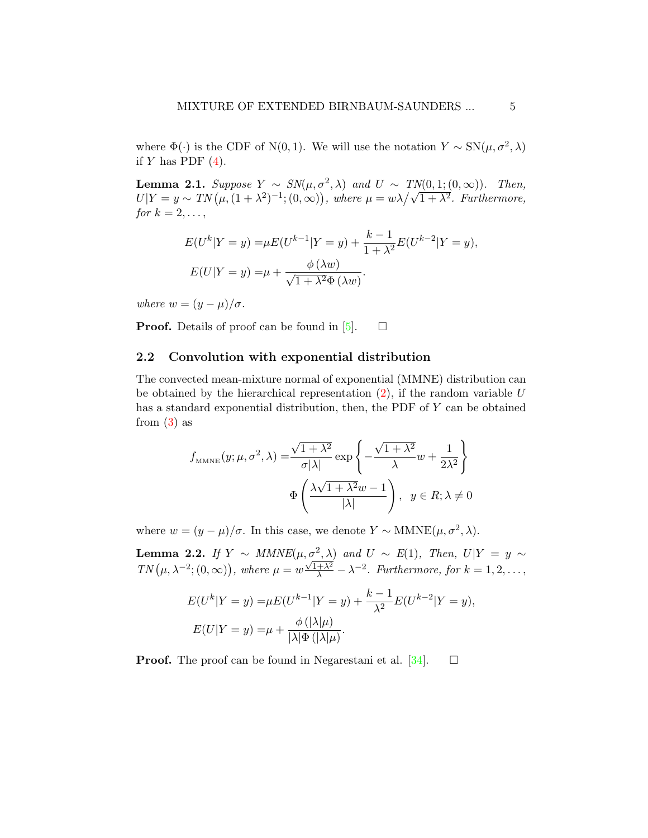where  $\Phi(\cdot)$  is the CDF of N(0,1). We will use the notation  $Y \sim SN(\mu, \sigma^2, \lambda)$ if  $Y$  has PDF  $(4)$ .

**Lemma 2.1.** Suppose  $Y \sim SN(\mu, \sigma^2, \lambda)$  and  $U \sim TN(0, 1; (0, \infty))$ . Then, **Lemma 2.1.** Suppose  $Y \sim SN(\mu, \sigma^2, \lambda)$  and  $U \sim TN(0, 1; (0, \infty))$ . Then,<br> $U|Y = y \sim TN(\mu, (1 + \lambda^2)^{-1}; (0, \infty))$ , where  $\mu = w\lambda/\sqrt{1 + \lambda^2}$ . Furthermore, for  $k = 2, \ldots,$ 

$$
E(U^{k}|Y=y) = \mu E(U^{k-1}|Y=y) + \frac{k-1}{1+\lambda^2}E(U^{k-2}|Y=y),
$$
  

$$
E(U|Y=y) = \mu + \frac{\phi(\lambda w)}{\sqrt{1+\lambda^2}\Phi(\lambda w)}.
$$

where  $w = (y - \mu)/\sigma$ .

**Proof.** Details of proof can be found in [\[5\]](#page-28-3).  $\Box$ 

### 2.2 Convolution with exponential distribution

The convected mean-mixture normal of exponential (MMNE) distribution can be obtained by the hierarchical representation  $(2)$ , if the random variable U has a standard exponential distribution, then, the PDF of Y can be obtained from  $(3)$  as

$$
f_{\text{MMNE}}(y; \mu, \sigma^2, \lambda) = \frac{\sqrt{1 + \lambda^2}}{\sigma |\lambda|} \exp \left\{ -\frac{\sqrt{1 + \lambda^2}}{\lambda} w + \frac{1}{2\lambda^2} \right\}
$$

$$
\Phi \left( \frac{\lambda \sqrt{1 + \lambda^2} w - 1}{|\lambda|} \right), \quad y \in R; \lambda \neq 0
$$

where  $w = (y - \mu)/\sigma$ . In this case, we denote  $Y \sim \text{MMNE}(\mu, \sigma^2, \lambda)$ .

<span id="page-4-0"></span>**Lemma 2.2.** If  $Y \sim MMNE(\mu, \sigma^2, \lambda)$  and  $U \sim E(1)$ , Then,  $U|Y = y \sim$  $TN(\mu, \lambda^{-2}; (0, \infty)),$  where  $\mu = w$  $\frac{\sqrt{1+\lambda^2}}{\lambda} - \lambda^{-2}$ . Furthermore, for  $k = 1, 2, ...,$ 

$$
E(U^{k}|Y=y) = \mu E(U^{k-1}|Y=y) + \frac{k-1}{\lambda^2}E(U^{k-2}|Y=y),
$$
  

$$
E(U|Y=y) = \mu + \frac{\phi(|\lambda|\mu)}{|\lambda|\Phi(|\lambda|\mu)}.
$$

**Proof.** The proof can be found in Negarestani et al. [\[34\]](#page-31-6).  $\Box$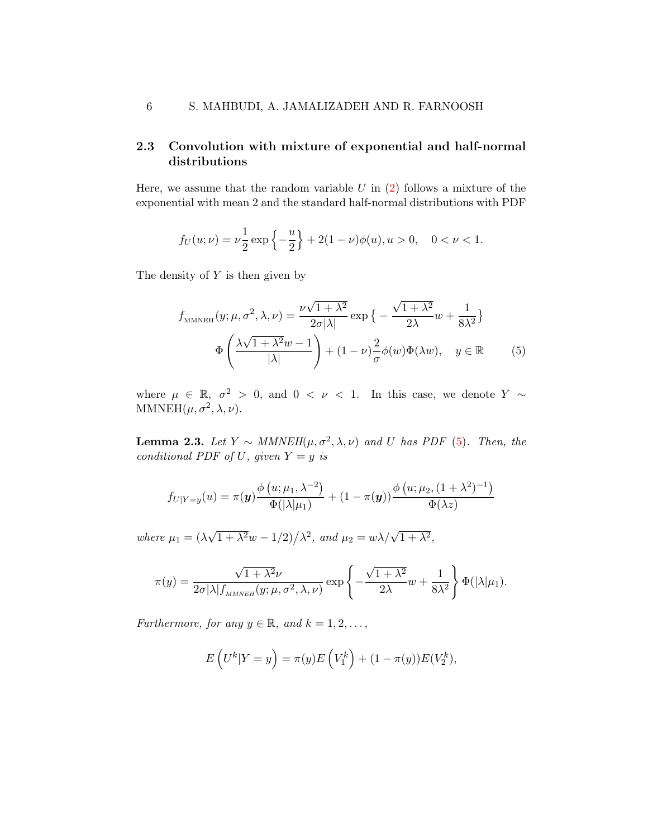### 2.3 Convolution with mixture of exponential and half-normal distributions

Here, we assume that the random variable  $U$  in  $(2)$  follows a mixture of the exponential with mean 2 and the standard half-normal distributions with PDF

$$
f_U(u; \nu) = \nu \frac{1}{2} \exp\left\{-\frac{u}{2}\right\} + 2(1-\nu)\phi(u), u > 0, \quad 0 < \nu < 1.
$$

The density of  $Y$  is then given by

<span id="page-5-0"></span>
$$
f_{\text{MMNEH}}(y; \mu, \sigma^2, \lambda, \nu) = \frac{\nu \sqrt{1 + \lambda^2}}{2\sigma |\lambda|} \exp \left\{ -\frac{\sqrt{1 + \lambda^2}}{2\lambda} w + \frac{1}{8\lambda^2} \right\}
$$

$$
\Phi \left( \frac{\lambda \sqrt{1 + \lambda^2} w - 1}{|\lambda|} \right) + (1 - \nu) \frac{2}{\sigma} \phi(w) \Phi(\lambda w), \quad y \in \mathbb{R} \tag{5}
$$

where  $\mu \in \mathbb{R}, \sigma^2 > 0$ , and  $0 < \nu < 1$ . In this case, we denote  $Y \sim$ MMNEH $(\mu, \sigma^2, \lambda, \nu)$ .

**Lemma 2.3.** Let  $Y \sim MMNEH(\mu, \sigma^2, \lambda, \nu)$  and U has PDF [\(5\)](#page-5-0). Then, the conditional PDF of U, given  $Y = y$  is

$$
f_{U|Y=y}(u) = \pi(\boldsymbol{y}) \frac{\phi\left(u; \mu_1, \lambda^{-2}\right)}{\Phi(|\lambda|\mu_1)} + (1 - \pi(\boldsymbol{y})) \frac{\phi\left(u; \mu_2, (1 + \lambda^2)^{-1}\right)}{\Phi(\lambda z)}
$$

where  $\mu_1 = (\lambda)$ √  $\sqrt{1 + \lambda^2} w - 1/2$ , and  $\mu_2 = w \lambda / \sqrt{1 + \lambda^2}$ ,

$$
\pi(y) = \frac{\sqrt{1 + \lambda^2} \nu}{2\sigma |\lambda| f_{\text{MMNEH}}(y; \mu, \sigma^2, \lambda, \nu)} \exp \left\{-\frac{\sqrt{1 + \lambda^2}}{2\lambda} w + \frac{1}{8\lambda^2}\right\} \Phi(|\lambda|\mu_1).
$$

Furthermore, for any  $y \in \mathbb{R}$ , and  $k = 1, 2, \ldots$ ,

$$
E\left(U^{k}|Y=y\right) = \pi(y)E\left(V_1^{k}\right) + (1-\pi(y))E(V_2^{k}),
$$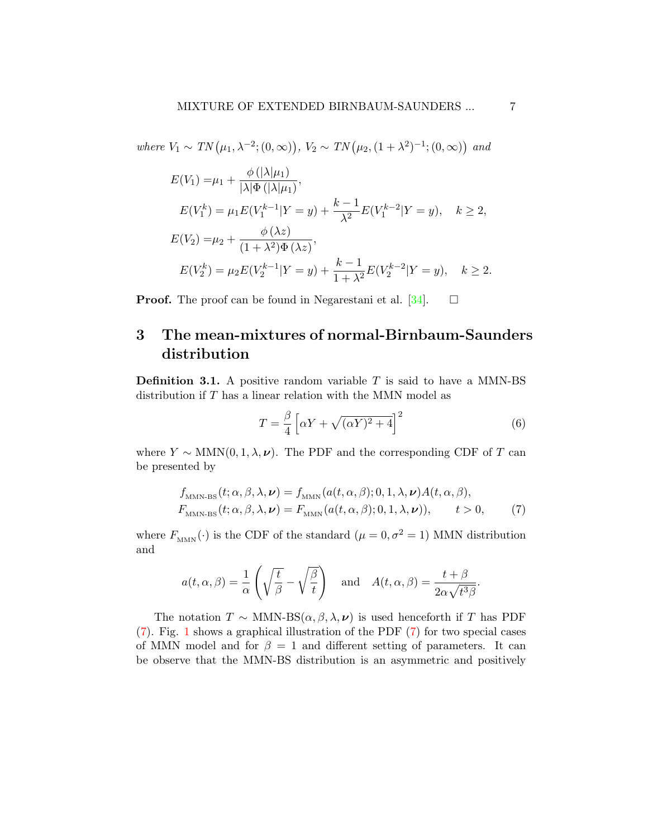where  $V_1 \sim TN(\mu_1, \lambda^{-2}; (0, \infty)), V_2 \sim TN(\mu_2, (1 + \lambda^2)^{-1}; (0, \infty))$  and

$$
E(V_1) = \mu_1 + \frac{\phi(|\lambda|\mu_1)}{|\lambda|\Phi(|\lambda|\mu_1)},
$$
  
\n
$$
E(V_1^k) = \mu_1 E(V_1^{k-1}|Y=y) + \frac{k-1}{\lambda^2} E(V_1^{k-2}|Y=y), \quad k \ge 2,
$$
  
\n
$$
E(V_2) = \mu_2 + \frac{\phi(\lambda z)}{(1+\lambda^2)\Phi(\lambda z)},
$$
  
\n
$$
E(V_2^k) = \mu_2 E(V_2^{k-1}|Y=y) + \frac{k-1}{1+\lambda^2} E(V_2^{k-2}|Y=y), \quad k \ge 2.
$$

**Proof.** The proof can be found in Negarestani et al. [\[34\]](#page-31-6).  $\Box$ 

## <span id="page-6-0"></span>3 The mean-mixtures of normal-Birnbaum-Saunders distribution

**Definition 3.1.** A positive random variable  $T$  is said to have a MMN-BS distribution if  $T$  has a linear relation with the MMN model as

<span id="page-6-2"></span><span id="page-6-1"></span>
$$
T = \frac{\beta}{4} \left[ \alpha Y + \sqrt{(\alpha Y)^2 + 4} \right]^2 \tag{6}
$$

where  $Y \sim \text{MMN}(0, 1, \lambda, \nu)$ . The PDF and the corresponding CDF of T can be presented by

$$
f_{\text{MMN-BS}}(t; \alpha, \beta, \lambda, \nu) = f_{\text{MMN}}(a(t, \alpha, \beta); 0, 1, \lambda, \nu) A(t, \alpha, \beta),
$$
  

$$
F_{\text{MMN-BS}}(t; \alpha, \beta, \lambda, \nu) = F_{\text{MMN}}(a(t, \alpha, \beta); 0, 1, \lambda, \nu)), \qquad t > 0,
$$
 (7)

where  $F_{_{\rm{MMN}}}(\cdot)$  is the CDF of the standard  $(\mu=0,\sigma^2=1)$  MMN distribution and

$$
a(t, \alpha, \beta) = \frac{1}{\alpha} \left( \sqrt{\frac{t}{\beta}} - \sqrt{\frac{\beta}{t}} \right) \quad \text{and} \quad A(t, \alpha, \beta) = \frac{t + \beta}{2\alpha\sqrt{t^3\beta}}.
$$

The notation  $T \sim$  MMN-BS( $\alpha, \beta, \lambda, \nu$ ) is used henceforth if T has PDF [\(7\)](#page-6-1). Fig. [1](#page-7-0) shows a graphical illustration of the PDF [\(7\)](#page-6-1) for two special cases of MMN model and for  $\beta = 1$  and different setting of parameters. It can be observe that the MMN-BS distribution is an asymmetric and positively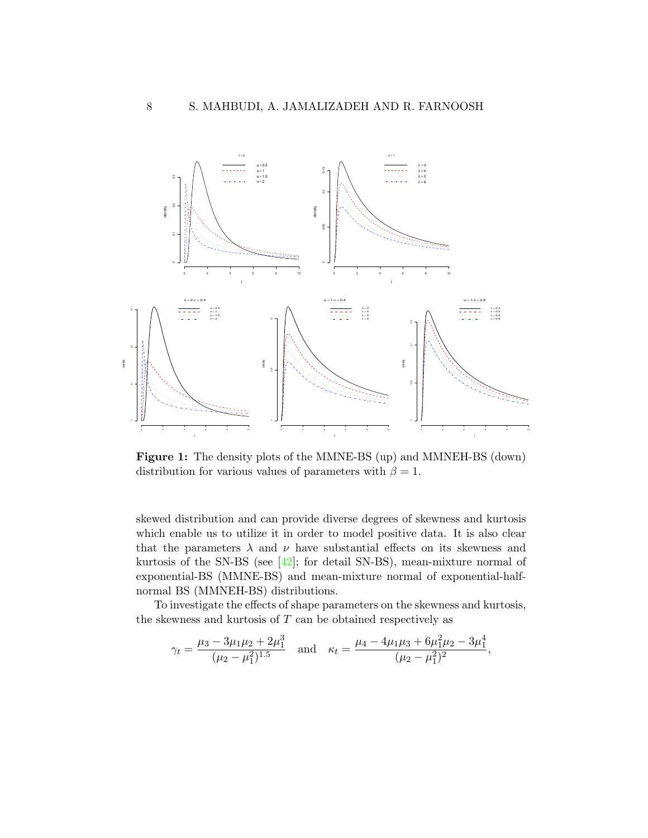<span id="page-7-0"></span>

Figure 1: The density plots of the MMNE-BS (up) and MMNEH-BS (down) distribution for various values of parameters with  $\beta = 1$ .

skewed distribution and can provide diverse degrees of skewness and kurtosis which enable us to utilize it in order to model positive data. It is also clear that the parameters  $\lambda$  and  $\nu$  have substantial effects on its skewness and kurtosis of the SN-BS (see  $[42]$ ; for detail SN-BS), mean-mixture normal of exponential-BS (MMNE-BS) and mean-mixture normal of exponential-halfnormal BS (MMNEH-BS) distributions.

To investigate the effects of shape parameters on the skewness and kurtosis, the skewness and kurtosis of  $T$  can be obtained respectively as

$$
\gamma_t = \frac{\mu_3 - 3\mu_1\mu_2 + 2\mu_1^3}{(\mu_2 - \mu_1^2)^{1.5}} \quad \text{and} \quad \kappa_t = \frac{\mu_4 - 4\mu_1\mu_3 + 6\mu_1^2\mu_2 - 3\mu_1^4}{(\mu_2 - \mu_1^2)^2},
$$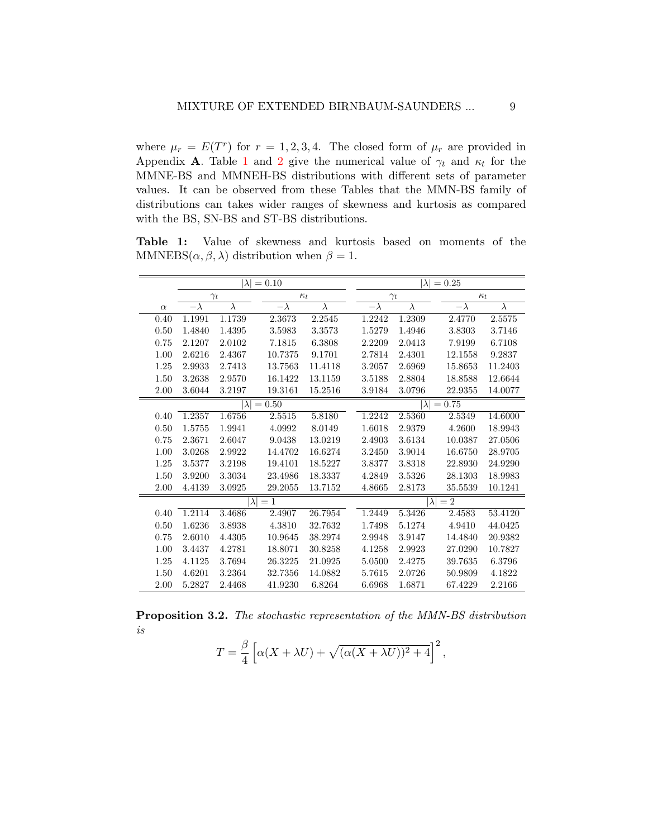where  $\mu_r = E(T^r)$  for  $r = 1, 2, 3, 4$ . The closed form of  $\mu_r$  are provided in Appendix **A**. Table [1](#page-8-0) and [2](#page-9-0) give the numerical value of  $\gamma_t$  and  $\kappa_t$  for the MMNE-BS and MMNEH-BS distributions with different sets of parameter values. It can be observed from these Tables that the MMN-BS family of distributions can takes wider ranges of skewness and kurtosis as compared with the BS, SN-BS and ST-BS distributions.

<span id="page-8-0"></span>Table 1: Value of skewness and kurtosis based on moments of the MMNEBS( $\alpha$ ,  $\beta$ ,  $\lambda$ ) distribution when  $\beta = 1$ .

|          |            | $\lambda$   | $= 0.10$   |            |            | $ \lambda $ | $= 0.25$        |           |
|----------|------------|-------------|------------|------------|------------|-------------|-----------------|-----------|
|          |            | $\gamma_t$  |            | $\kappa_t$ |            | $\gamma_t$  | $\kappa_t$      |           |
| $\alpha$ | $-\lambda$ | $\lambda$   | $-\lambda$ | $\lambda$  | $-\lambda$ | $\lambda$   | $-\lambda$      | $\lambda$ |
| 0.40     | 1.1991     | 1.1739      | 2.3673     | 2.2545     | 1.2242     | 1.2309      | 2.4770          | 2.5575    |
| 0.50     | 1.4840     | 1.4395      | 3.5983     | 3.3573     | 1.5279     | 1.4946      | 3.8303          | 3.7146    |
| 0.75     | 2.1207     | 2.0102      | 7.1815     | 6.3808     | 2.2209     | 2.0413      | 7.9199          | 6.7108    |
| 1.00     | 2.6216     | 2.4367      | 10.7375    | 9.1701     | 2.7814     | 2.4301      | 12.1558         | 9.2837    |
| 1.25     | 2.9933     | 2.7413      | 13.7563    | 11.4118    | 3.2057     | 2.6969      | 15.8653         | 11.2403   |
| 1.50     | 3.2638     | 2.9570      | 16.1422    | 13.1159    | 3.5188     | 2.8804      | 18.8588         | 12.6644   |
| 2.00     | 3.6044     | 3.2197      | 19.3161    | 15.2516    | 3.9184     | 3.0796      | 22.9355         | 14.0077   |
|          |            | $\lambda$   | $= 0.50$   |            |            | $\lambda$   | $= 0.75$        |           |
| 0.40     | 1.2357     | 1.6756      | 2.5515     | 5.8180     | 1.2242     | 2.5360      | 2.5349          | 14.6000   |
| 0.50     | 1.5755     | 1.9941      | 4.0992     | 8.0149     | 1.6018     | 2.9379      | 4.2600          | 18.9943   |
| 0.75     | 2.3671     | 2.6047      | 9.0438     | 13.0219    | 2.4903     | 3.6134      | 10.0387         | 27.0506   |
| 1.00     | 3.0268     | 2.9922      | 14.4702    | 16.6274    | 3.2450     | 3.9014      | 16.6750         | 28.9705   |
| 1.25     | 3.5377     | 3.2198      | 19.4101    | 18.5227    | 3.8377     | 3.8318      | 22.8930         | 24.9290   |
| 1.50     | 3.9200     | 3.3034      | 23.4986    | 18.3337    | 4.2849     | 3.5326      | 28.1303         | 18.9983   |
| 2.00     | 4.4139     | 3.0925      | 29.2055    | 13.7152    | 4.8665     | 2.8173      | 35.5539         | 10.1241   |
|          |            | $ \lambda $ | $=1$       |            |            |             | $ \lambda  = 2$ |           |
| 0.40     | 1.2114     | 3.4686      | 2.4907     | 26.7954    | 1.2449     | 5.3426      | 2.4583          | 53.4120   |
| 0.50     | 1.6236     | 3.8938      | 4.3810     | 32.7632    | 1.7498     | 5.1274      | 4.9410          | 44.0425   |
| 0.75     | 2.6010     | 4.4305      | 10.9645    | 38.2974    | 2.9948     | 3.9147      | 14.4840         | 20.9382   |
| 1.00     | 3.4437     | 4.2781      | 18.8071    | 30.8258    | 4.1258     | 2.9923      | 27.0290         | 10.7827   |
| 1.25     | 4.1125     | 3.7694      | 26.3225    | 21.0925    | 5.0500     | 2.4275      | 39.7635         | 6.3796    |
| 1.50     | 4.6201     | 3.2364      | 32.7356    | 14.0882    | 5.7615     | 2.0726      | 50.9809         | 4.1822    |
| 2.00     | 5.2827     | 2.4468      | 41.9230    | 6.8264     | 6.6968     | 1.6871      | 67.4229         | 2.2166    |

Proposition 3.2. The stochastic representation of the MMN-BS distribution is

$$
T = \frac{\beta}{4} \left[ \alpha (X + \lambda U) + \sqrt{(\alpha (X + \lambda U))^2 + 4} \right]^2,
$$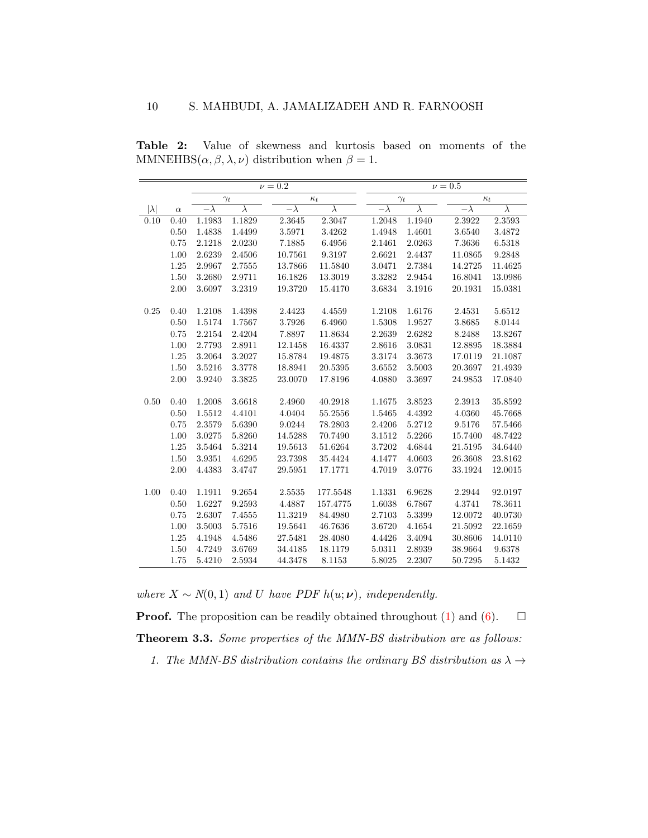|             |          |            |            | $\nu = 0.2$ |            |            |            | $\nu = 0.5$ |            |            |
|-------------|----------|------------|------------|-------------|------------|------------|------------|-------------|------------|------------|
|             |          |            | $\gamma_t$ |             | $\kappa_t$ |            | $\gamma_t$ |             |            | $\kappa_t$ |
| $ \lambda $ | $\alpha$ | $-\lambda$ | $\lambda$  | $-\lambda$  | $\lambda$  | $-\lambda$ | $\lambda$  |             | $-\lambda$ | $\lambda$  |
| 0.10        | 0.40     | 1.1983     | 1.1829     | 2.3645      | 2.3047     | 1.2048     | 1.1940     |             | 2.3922     | 2.3593     |
|             | 0.50     | 1.4838     | 1.4499     | 3.5971      | 3.4262     | 1.4948     | 1.4601     |             | 3.6540     | 3.4872     |
|             | 0.75     | 2.1218     | 2.0230     | 7.1885      | 6.4956     | 2.1461     | 2.0263     |             | 7.3636     | 6.5318     |
|             | 1.00     | 2.6239     | 2.4506     | 10.7561     | 9.3197     | 2.6621     | 2.4437     |             | 11.0865    | 9.2848     |
|             | 1.25     | 2.9967     | 2.7555     | 13.7866     | 11.5840    | 3.0471     | 2.7384     |             | 14.2725    | 11.4625    |
|             | 1.50     | 3.2680     | 2.9711     | 16.1826     | 13.3019    | 3.3282     | 2.9454     |             | 16.8041    | 13.0986    |
|             | 2.00     | 3.6097     | 3.2319     | 19.3720     | 15.4170    | 3.6834     | 3.1916     |             | 20.1931    | 15.0381    |
|             |          |            |            |             |            |            |            |             |            |            |
| 0.25        | 0.40     | 1.2108     | 1.4398     | 2.4423      | 4.4559     | 1.2108     | 1.6176     |             | 2.4531     | $5.6512\,$ |
|             | 0.50     | 1.5174     | 1.7567     | 3.7926      | 6.4960     | 1.5308     | 1.9527     |             | 3.8685     | 8.0144     |
|             | 0.75     | 2.2154     | 2.4204     | 7.8897      | 11.8634    | 2.2639     | 2.6282     |             | 8.2488     | 13.8267    |
|             | 1.00     | 2.7793     | 2.8911     | 12.1458     | 16.4337    | 2.8616     | 3.0831     |             | 12.8895    | 18.3884    |
|             | 1.25     | 3.2064     | 3.2027     | 15.8784     | 19.4875    | 3.3174     | 3.3673     |             | 17.0119    | 21.1087    |
|             | 1.50     | 3.5216     | 3.3778     | 18.8941     | 20.5395    | 3.6552     | 3.5003     |             | 20.3697    | 21.4939    |
|             | 2.00     | 3.9240     | 3.3825     | 23.0070     | 17.8196    | 4.0880     | 3.3697     |             | 24.9853    | 17.0840    |
|             |          |            |            |             |            |            |            |             |            |            |
| 0.50        | 0.40     | 1.2008     | 3.6618     | 2.4960      | 40.2918    | 1.1675     | 3.8523     |             | 2.3913     | 35.8592    |
|             | 0.50     | 1.5512     | 4.4101     | 4.0404      | 55.2556    | 1.5465     | 4.4392     |             | 4.0360     | 45.7668    |
|             | 0.75     | 2.3579     | 5.6390     | 9.0244      | 78.2803    | 2.4206     | 5.2712     |             | 9.5176     | 57.5466    |
|             | 1.00     | 3.0275     | 5.8260     | 14.5288     | 70.7490    | 3.1512     | 5.2266     |             | 15.7400    | 48.7422    |
|             | 1.25     | 3.5464     | 5.3214     | 19.5613     | 51.6264    | 3.7202     | 4.6844     |             | 21.5195    | 34.6440    |
|             | 1.50     | 3.9351     | 4.6295     | 23.7398     | 35.4424    | 4.1477     | 4.0603     |             | 26.3608    | 23.8162    |
|             | 2.00     | 4.4383     | 3.4747     | 29.5951     | 17.1771    | 4.7019     | 3.0776     |             | 33.1924    | 12.0015    |
|             |          |            |            |             |            |            |            |             |            |            |
| 1.00        | 0.40     | 1.1911     | 9.2654     | 2.5535      | 177.5548   | 1.1331     | 6.9628     |             | 2.2944     | 92.0197    |
|             | 0.50     | 1.6227     | 9.2593     | 4.4887      | 157.4775   | 1.6038     | 6.7867     |             | 4.3741     | 78.3611    |
|             | 0.75     | 2.6307     | 7.4555     | 11.3219     | 84.4980    | 2.7103     | 5.3399     |             | 12.0072    | 40.0730    |
|             | 1.00     | 3.5003     | 5.7516     | 19.5641     | 46.7636    | 3.6720     | 4.1654     |             | 21.5092    | 22.1659    |
|             | 1.25     | 4.1948     | 4.5486     | 27.5481     | 28.4080    | 4.4426     | 3.4094     |             | 30.8606    | 14.0110    |
|             | 1.50     | 4.7249     | 3.6769     | 34.4185     | 18.1179    | 5.0311     | 2.8939     |             | 38.9664    | 9.6378     |
|             | 1.75     | 5.4210     | 2.5934     | 44.3478     | 8.1153     | 5.8025     | 2.2307     |             | 50.7295    | 5.1432     |

<span id="page-9-0"></span>Table 2: Value of skewness and kurtosis based on moments of the MMNEHBS $(\alpha, \beta, \lambda, \nu)$  distribution when  $\beta = 1$ .

where  $X \sim N(0, 1)$  and U have PDF  $h(u; \nu)$ , independently.

**Proof.** The proposition can be readily obtained throughout  $(1)$  and  $(6)$ .  $\Box$ Theorem 3.3. Some properties of the MMN-BS distribution are as follows: 1. The MMN-BS distribution contains the ordinary BS distribution as  $\lambda \rightarrow$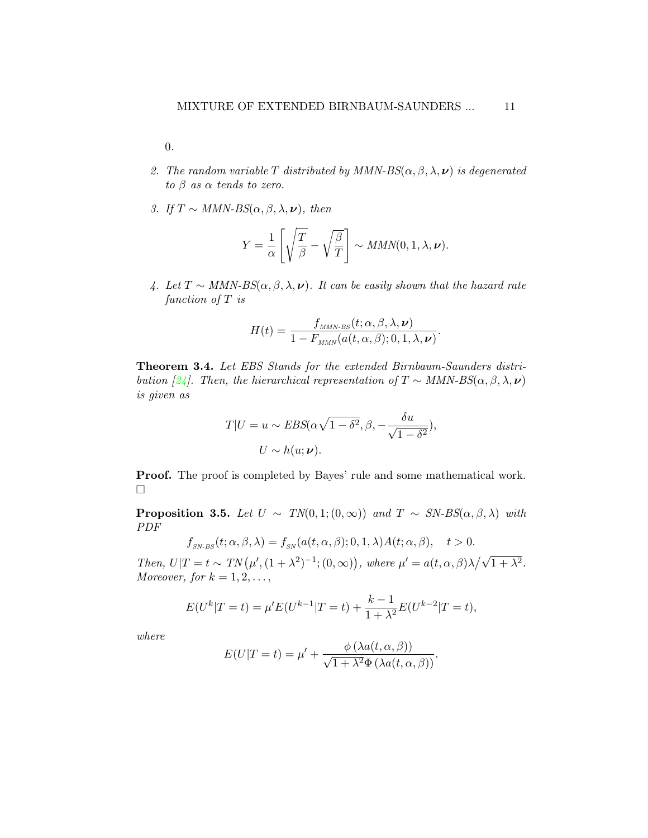0.

- 2. The random variable T distributed by MMN- $BS(\alpha, \beta, \lambda, \nu)$  is degenerated to  $\beta$  as  $\alpha$  tends to zero.
- 3. If  $T \sim MMN-BS(\alpha, \beta, \lambda, \nu)$ , then

$$
Y = \frac{1}{\alpha} \left[ \sqrt{\frac{T}{\beta}} - \sqrt{\frac{\beta}{T}} \right] \sim MMN(0, 1, \lambda, \nu).
$$

4. Let  $T \sim MMN-BS(\alpha, \beta, \lambda, \nu)$ . It can be easily shown that the hazard rate function of T is

$$
H(t) = \frac{f_{MMN-BS}(t; \alpha, \beta, \lambda, \nu)}{1 - F_{MMN}(a(t, \alpha, \beta); 0, 1, \lambda, \nu)}.
$$

Theorem 3.4. Let EBS Stands for the extended Birnbaum-Saunders distri-bution [\[24\]](#page-30-7). Then, the hierarchical representation of  $T \sim MMN-BS(\alpha, \beta, \lambda, \nu)$ is given as

$$
T|U = u \sim EBS(\alpha\sqrt{1-\delta^2}, \beta, -\frac{\delta u}{\sqrt{1-\delta^2}}),
$$
  
 
$$
U \sim h(u; \nu).
$$

Proof. The proof is completed by Bayes' rule and some mathematical work.  $\Box$ 

<span id="page-10-0"></span>**Proposition 3.5.** Let  $U \sim TN(0, 1; (0, \infty))$  and  $T \sim SN\text{-}BS(\alpha, \beta, \lambda)$  with PDF

$$
f_{\rm SN\text{-}BS}(t;\alpha,\beta,\lambda) = f_{\rm SN}(a(t,\alpha,\beta);0,1,\lambda)A(t;\alpha,\beta), \quad t > 0.
$$

Then,  $U|T = t \sim TN(\mu', (1 + \lambda^2)^{-1}; (0, \infty)),$  where  $\mu' = a(t, \alpha, \beta)\lambda/\sqrt{1 + \lambda^2}$ . Moreover, for  $k = 1, 2, \ldots$ ,

$$
E(U^{k}|T=t) = \mu'E(U^{k-1}|T=t) + \frac{k-1}{1+\lambda^2}E(U^{k-2}|T=t),
$$

where

$$
E(U|T=t) = \mu' + \frac{\phi(\lambda a(t, \alpha, \beta))}{\sqrt{1 + \lambda^2} \Phi(\lambda a(t, \alpha, \beta))}.
$$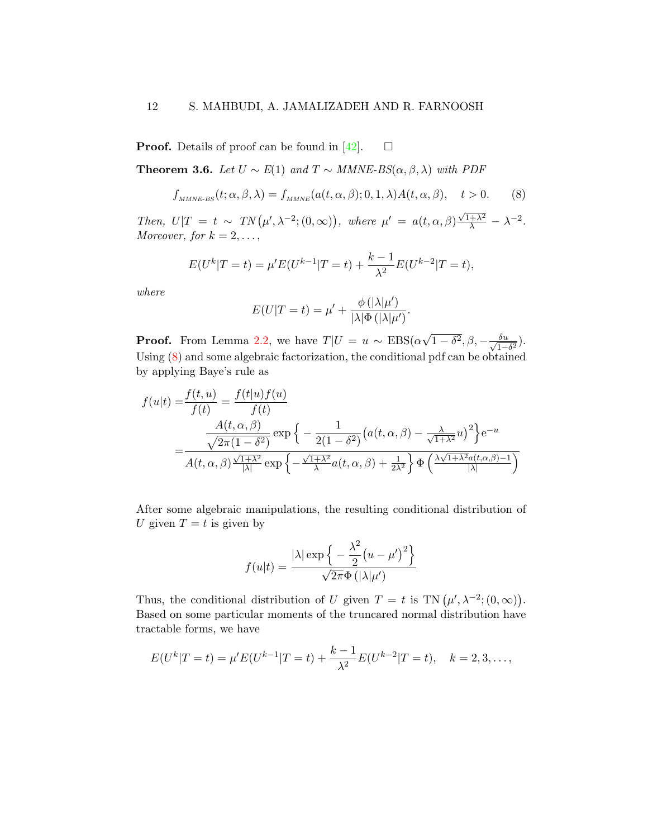**Proof.** Details of proof can be found in [\[42\]](#page-32-5).  $\Box$ 

<span id="page-11-1"></span>**Theorem 3.6.** Let  $U$  ∼  $E(1)$  and  $T$  ∼ MMNE-BS( $\alpha, \beta, \lambda$ ) with PDF

<span id="page-11-0"></span>
$$
f_{MMNE\text{-}BS}(t;\alpha,\beta,\lambda) = f_{MMNE}(a(t,\alpha,\beta);0,1,\lambda)A(t,\alpha,\beta), \quad t > 0. \tag{8}
$$

Then,  $U|T = t \sim TN(\mu', \lambda^{-2}; (0, \infty)),$  where  $\mu' = a(t, \alpha, \beta) \frac{\sqrt{1+\lambda^2}}{\lambda} - \lambda^{-2}$ . Moreover, for  $k = 2, \ldots,$ 

$$
E(U^{k}|T=t) = \mu'E(U^{k-1}|T=t) + \frac{k-1}{\lambda^2}E(U^{k-2}|T=t),
$$

where

$$
E(U|T=t) = \mu' + \frac{\phi(|\lambda|\mu')}{|\lambda|\Phi(|\lambda|\mu')}.
$$

**Proof.** From Lemma [2.2,](#page-4-0) we have  $T|U = u \sim EBS(\alpha)$ √  $\overline{1-\delta^2}, \beta, -\frac{\delta u}{\delta}$  $\frac{\delta u}{1-\delta^2}$ ). Using [\(8\)](#page-11-0) and some algebraic factorization, the conditional pdf can be obtained by applying Baye's rule as

$$
f(u|t) = \frac{f(t, u)}{f(t)} = \frac{f(t|u)f(u)}{f(t)}
$$
  
= 
$$
\frac{A(t, \alpha, \beta)}{\sqrt{2\pi (1 - \delta^2)}} \exp \left\{-\frac{1}{2(1 - \delta^2)} \left(a(t, \alpha, \beta) - \frac{\lambda}{\sqrt{1 + \lambda^2}} u\right)^2\right\} e^{-u}
$$
  
= 
$$
\frac{A(t, \alpha, \beta) \frac{\sqrt{1 + \lambda^2}}{|\lambda|}}{A(t, \alpha, \beta) \frac{\sqrt{1 + \lambda^2}}{|\lambda|}} \exp \left\{-\frac{\sqrt{1 + \lambda^2}}{\lambda} a(t, \alpha, \beta) + \frac{1}{2\lambda^2}\right\} \Phi \left(\frac{\lambda \sqrt{1 + \lambda^2} a(t, \alpha, \beta) - 1}{|\lambda|}\right)}
$$

After some algebraic manipulations, the resulting conditional distribution of U given  $T = t$  is given by

$$
f(u|t) = \frac{|\lambda| \exp\left\{-\frac{\lambda^2}{2}(u-\mu')^2\right\}}{\sqrt{2\pi}\Phi(|\lambda|\mu')}
$$

Thus, the conditional distribution of U given  $T = t$  is TN  $(\mu', \lambda^{-2}; (0, \infty))$ . Based on some particular moments of the truncared normal distribution have tractable forms, we have

$$
E(U^k|T=t) = \mu'E(U^{k-1}|T=t) + \frac{k-1}{\lambda^2}E(U^{k-2}|T=t), \quad k = 2, 3, \dots,
$$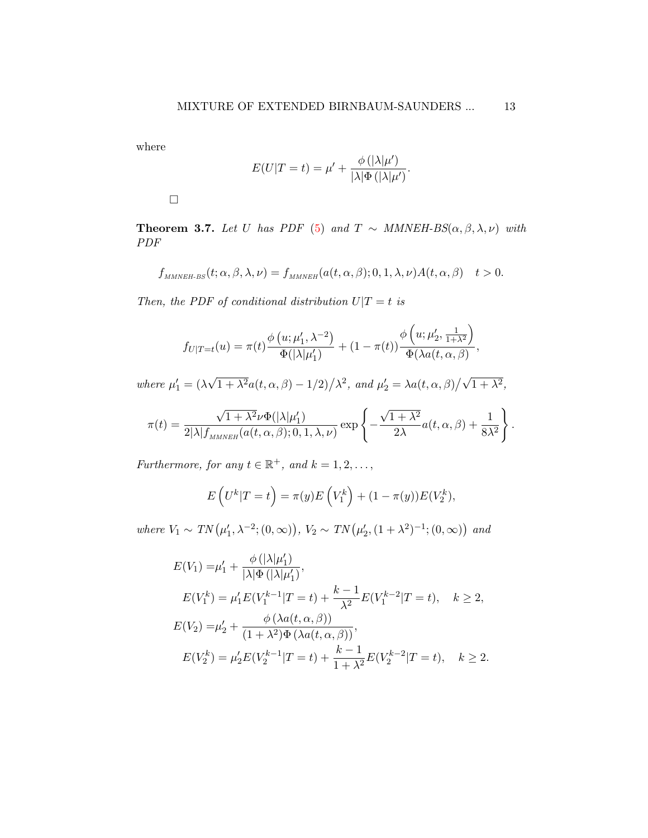where

$$
E(U|T=t) = \mu' + \frac{\phi(|\lambda|\mu')}{|\lambda|\Phi(|\lambda|\mu')}.
$$

 $\Box$ 

<span id="page-12-0"></span>Theorem 3.7. Let U has PDF [\(5\)](#page-5-0) and T  $\sim$  MMNEH-BS( $\alpha, \beta, \lambda, \nu$ ) with PDF

$$
f_{\text{MMNEH-BS}}(t; \alpha, \beta, \lambda, \nu) = f_{\text{MMNEH}}(a(t, \alpha, \beta); 0, 1, \lambda, \nu) A(t, \alpha, \beta) \quad t > 0.
$$

Then, the PDF of conditional distribution  $U|T = t$  is

$$
f_{U|T=t}(u) = \pi(t) \frac{\phi(u; \mu'_1, \lambda^{-2})}{\Phi(|\lambda|\mu'_1)} + (1 - \pi(t)) \frac{\phi(u; \mu'_2, \frac{1}{1+\lambda^2})}{\Phi(\lambda a(t, \alpha, \beta)},
$$

where  $\mu'_1 = (\lambda)$ √  $\sqrt{1+\lambda^2}a(t,\alpha,\beta)-1/2\big)/\lambda^2$ , and  $\mu'_2=\lambda a(t,\alpha,\beta)\big/\sqrt{1+\lambda^2}$ ,

$$
\pi(t) = \frac{\sqrt{1+\lambda^2}\nu \Phi(|\lambda|\mu'_1)}{2|\lambda|f_{MMNEH}(a(t,\alpha,\beta);0,1,\lambda,\nu)} \exp\left\{-\frac{\sqrt{1+\lambda^2}}{2\lambda}a(t,\alpha,\beta) + \frac{1}{8\lambda^2}\right\}.
$$

Furthermore, for any  $t \in \mathbb{R}^+$ , and  $k = 1, 2, \ldots$ ,

$$
E\left(U^k|T=t\right) = \pi(y)E\left(V_1^k\right) + (1-\pi(y))E(V_2^k),
$$

where  $V_1 \sim TN(\mu'_1, \lambda^{-2}; (0, \infty)), V_2 \sim TN(\mu'_2, (1 + \lambda^2)^{-1}; (0, \infty))$  and

$$
E(V_1) = \mu'_1 + \frac{\phi(|\lambda|\mu'_1)}{|\lambda|\Phi(|\lambda|\mu'_1)},
$$
  
\n
$$
E(V_1^k) = \mu'_1 E(V_1^{k-1}|T=t) + \frac{k-1}{\lambda^2} E(V_1^{k-2}|T=t), \quad k \ge 2,
$$
  
\n
$$
E(V_2) = \mu'_2 + \frac{\phi(\lambda a(t, \alpha, \beta))}{(1 + \lambda^2)\Phi(\lambda a(t, \alpha, \beta))},
$$
  
\n
$$
E(V_2^k) = \mu'_2 E(V_2^{k-1}|T=t) + \frac{k-1}{1 + \lambda^2} E(V_2^{k-2}|T=t), \quad k \ge 2.
$$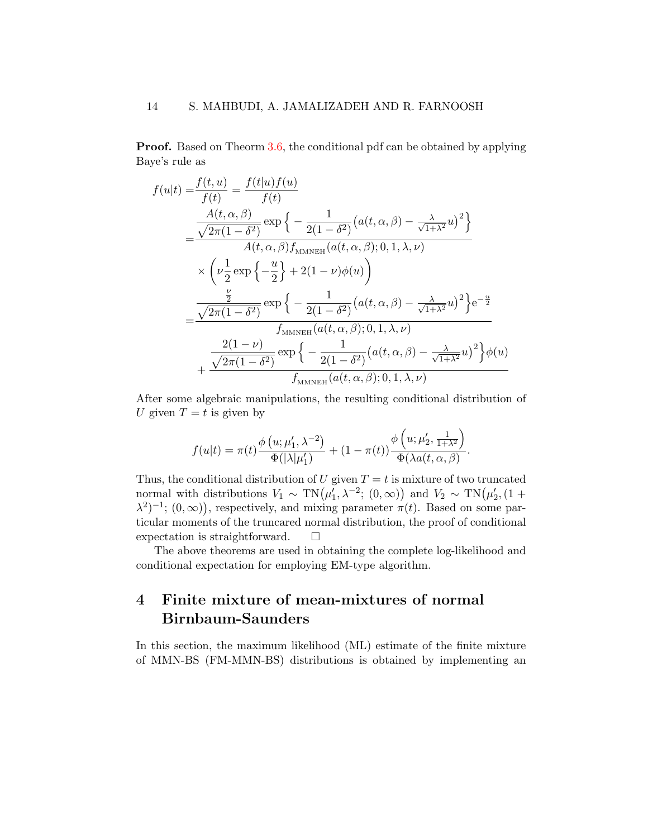**Proof.** Based on Theorm [3.6,](#page-11-1) the conditional pdf can be obtained by applying Baye's rule as

$$
f(u|t) = \frac{f(t, u)}{f(t)} = \frac{f(t|u)f(u)}{f(t)}
$$
  
= 
$$
\frac{\frac{A(t, \alpha, \beta)}{\sqrt{2\pi(1-\delta^2)}} \exp\left\{-\frac{1}{2(1-\delta^2)}(a(t, \alpha, \beta) - \frac{\lambda}{\sqrt{1+\lambda^2}}u)^2\right\}}{A(t, \alpha, \beta)f_{\text{MMNEH}}(a(t, \alpha, \beta); 0, 1, \lambda, \nu)}
$$
  

$$
\times \left(\nu \frac{1}{2} \exp\left\{-\frac{u}{2}\right\} + 2(1-\nu)\phi(u)\right)
$$
  
= 
$$
\frac{\frac{\frac{\nu}{2}}{2}}{\sqrt{2\pi(1-\delta^2)}} \exp\left\{-\frac{1}{2(1-\delta^2)}(a(t, \alpha, \beta) - \frac{\lambda}{\sqrt{1+\lambda^2}}u)^2\right\}e^{-\frac{u}{2}}
$$
  

$$
f_{\text{MMNEH}}(a(t, \alpha, \beta); 0, 1, \lambda, \nu)
$$
  
+ 
$$
\frac{2(1-\nu)}{\sqrt{2\pi(1-\delta^2)}} \exp\left\{-\frac{1}{2(1-\delta^2)}(a(t, \alpha, \beta) - \frac{\lambda}{\sqrt{1+\lambda^2}}u)^2\right\}\phi(u)
$$
  
+ 
$$
\frac{\sqrt{2\pi(1-\delta^2)}}{f_{\text{MMNEH}}(a(t, \alpha, \beta); 0, 1, \lambda, \nu)}
$$

After some algebraic manipulations, the resulting conditional distribution of U given  $T = t$  is given by

$$
f(u|t) = \pi(t) \frac{\phi(u; \mu'_1, \lambda^{-2})}{\Phi(|\lambda|\mu'_1)} + (1 - \pi(t)) \frac{\phi(u; \mu'_2, \frac{1}{1 + \lambda^2})}{\Phi(\lambda a(t, \alpha, \beta)}.
$$

Thus, the conditional distribution of U given  $T = t$  is mixture of two truncated normal with distributions  $V_1 \sim \text{TN}(\mu'_1, \lambda^{-2}; (0, \infty))$  and  $V_2 \sim \text{TN}(\mu'_2, (1 +$  $(\lambda^2)^{-1}$ ;  $(0,\infty)$ , respectively, and mixing parameter  $\pi(t)$ . Based on some particular moments of the truncared normal distribution, the proof of conditional expectation is straightforward.  $\square$ 

The above theorems are used in obtaining the complete log-likelihood and conditional expectation for employing EM-type algorithm.

## <span id="page-13-0"></span>4 Finite mixture of mean-mixtures of normal Birnbaum-Saunders

In this section, the maximum likelihood (ML) estimate of the finite mixture of MMN-BS (FM-MMN-BS) distributions is obtained by implementing an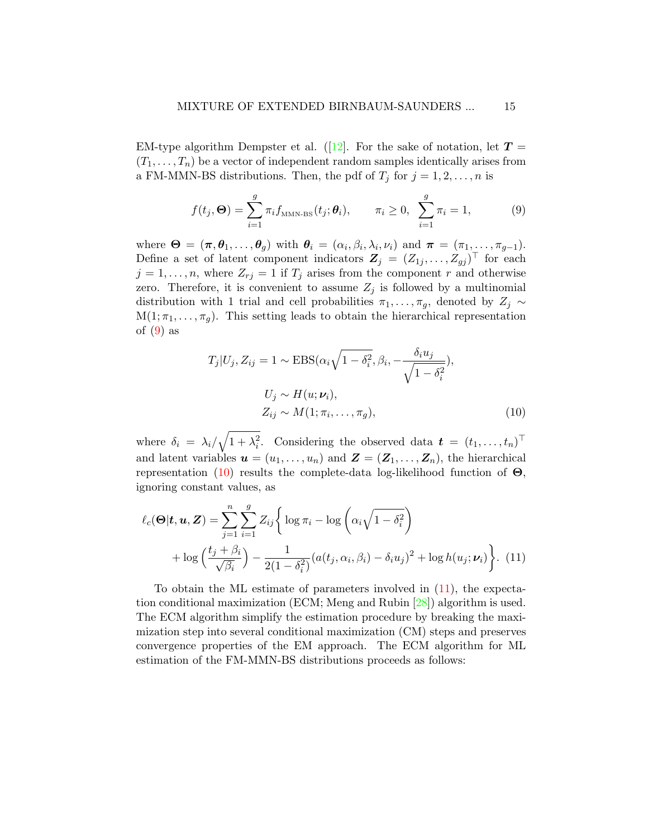EM-type algorithm Dempster et al. (12). For the sake of notation, let  $T =$  $(T_1, \ldots, T_n)$  be a vector of independent random samples identically arises from a FM-MMN-BS distributions. Then, the pdf of  $T_i$  for  $j = 1, 2, \ldots, n$  is

<span id="page-14-0"></span>
$$
f(t_j, \Theta) = \sum_{i=1}^{g} \pi_i f_{\text{MMN-BS}}(t_j; \theta_i), \qquad \pi_i \ge 0, \ \sum_{i=1}^{g} \pi_i = 1,
$$
 (9)

where  $\mathbf{\Theta} = (\pi, \theta_1, \dots, \theta_g)$  with  $\theta_i = (\alpha_i, \beta_i, \lambda_i, \nu_i)$  and  $\pi = (\pi_1, \dots, \pi_{g-1})$ . Define a set of latent component indicators  $\mathbf{Z}_j = (Z_{1j}, \ldots, Z_{gj})^\top$  for each  $j = 1, \ldots, n$ , where  $Z_{rj} = 1$  if  $T_j$  arises from the component r and otherwise zero. Therefore, it is convenient to assume  $Z_j$  is followed by a multinomial distribution with 1 trial and cell probabilities  $\pi_1, \ldots, \pi_q$ , denoted by  $Z_i \sim$  $M(1; \pi_1, \ldots, \pi_q)$ . This setting leads to obtain the hierarchical representation of  $(9)$  as

<span id="page-14-2"></span><span id="page-14-1"></span>
$$
T_j|U_j, Z_{ij} = 1 \sim \text{EBS}(\alpha_i \sqrt{1 - \delta_i^2}, \beta_i, -\frac{\delta_i u_j}{\sqrt{1 - \delta_i^2}}),
$$
  

$$
U_j \sim H(u; \nu_i),
$$
  

$$
Z_{ij} \sim M(1; \pi_i, \dots, \pi_g),
$$
 (10)

where  $\delta_i = \lambda_i / \sqrt{1 + \lambda_i^2}$ . Considering the observed data  $\boldsymbol{t} = (t_1, \ldots, t_n)^\top$ and latent variables  $u = (u_1, \ldots, u_n)$  and  $\mathbf{Z} = (\mathbf{Z}_1, \ldots, \mathbf{Z}_n)$ , the hierarchical representation [\(10\)](#page-14-1) results the complete-data log-likelihood function of  $\Theta$ , ignoring constant values, as

$$
\ell_c(\mathbf{\Theta}|\mathbf{t}, \mathbf{u}, \mathbf{Z}) = \sum_{j=1}^n \sum_{i=1}^g Z_{ij} \bigg\{ \log \pi_i - \log \left( \alpha_i \sqrt{1 - \delta_i^2} \right) + \log \left( \frac{t_j + \beta_i}{\sqrt{\beta_i}} \right) - \frac{1}{2(1 - \delta_i^2)} (a(t_j, \alpha_i, \beta_i) - \delta_i u_j)^2 + \log h(u_j; \nu_i) \bigg\}.
$$
(11)

To obtain the ML estimate of parameters involved in [\(11\)](#page-14-2), the expectation conditional maximization (ECM; Meng and Rubin [\[28\]](#page-30-8)) algorithm is used. The ECM algorithm simplify the estimation procedure by breaking the maximization step into several conditional maximization (CM) steps and preserves convergence properties of the EM approach. The ECM algorithm for ML estimation of the FM-MMN-BS distributions proceeds as follows: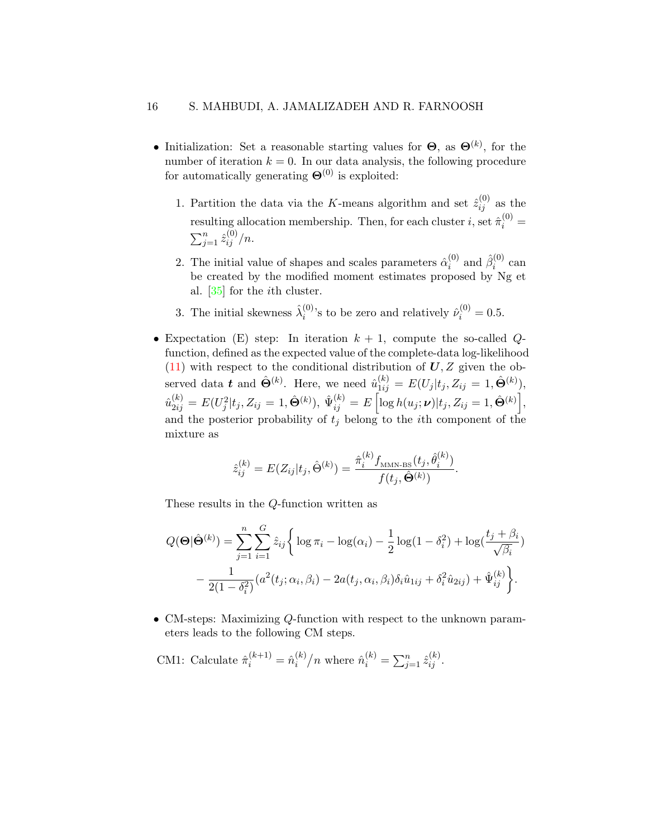- Initialization: Set a reasonable starting values for  $\Theta$ , as  $\Theta^{(k)}$ , for the number of iteration  $k = 0$ . In our data analysis, the following procedure for automatically generating  $\mathbf{\Theta}^{(0)}$  is exploited:
	- 1. Partition the data via the K-means algorithm and set  $\hat{z}_{ij}^{(0)}$  as the resulting allocation membership. Then, for each cluster  $i$ , set  $\hat{\pi}_i^{(0)}$  =  $\sum_{j=1}^{n} \hat{z}_{ij}^{(0)}/n$ .
	- 2. The initial value of shapes and scales parameters  $\hat{\alpha}_i^{(0)}$  $i^{(0)}$  and  $\hat{\beta}_i^{(0)}$  $i^{(0)}$  can be created by the modified moment estimates proposed by Ng et al. [\[35\]](#page-31-7) for the ith cluster.
	- 3. The initial skewness  $\hat{\lambda}_i^{(0)}$  $\hat{\nu}_i^{(0)}$ 's to be zero and relatively  $\hat{\nu}_i^{(0)} = 0.5$ .
- Expectation (E) step: In iteration  $k + 1$ , compute the so-called Qfunction, defined as the expected value of the complete-data log-likelihood  $(11)$  with respect to the conditional distribution of  $U, Z$  given the observed data  $\boldsymbol{t}$  and  $\hat{\Theta}^{(k)}$ . Here, we need  $\hat{u}_{1ij}^{(k)} = E(U_j | t_j, Z_{ij} = 1, \hat{\Theta}^{(k)}),$  $\hat{u}_{2ij}^{(k)}=E(U_j^2|t_j,Z_{ij}=1,\hat{\bm{\Theta}}^{(k)}),\ \hat{\Psi}_{ij}^{(k)}=E\left[\log h(u_j;\bm{\nu})|t_j,Z_{ij}=1,\hat{\bm{\Theta}}^{(k)}\right],$ and the posterior probability of  $t_j$  belong to the *i*th component of the mixture as

$$
\hat{z}_{ij}^{(k)} = E(Z_{ij}|t_j, \hat{\Theta}^{(k)}) = \frac{\hat{\pi}_i^{(k)} f_{\text{MMN-BS}}(t_j, \hat{\theta}_i^{(k)})}{f(t_j, \hat{\Theta}^{(k)})}.
$$

These results in the Q-function written as

$$
Q(\mathbf{\Theta}|\hat{\mathbf{\Theta}}^{(k)}) = \sum_{j=1}^{n} \sum_{i=1}^{G} \hat{z}_{ij} \bigg\{ \log \pi_i - \log(\alpha_i) - \frac{1}{2} \log(1 - \delta_i^2) + \log(\frac{t_j + \beta_i}{\sqrt{\beta_i}}) - \frac{1}{2(1 - \delta_i^2)} (a^2(t_j; \alpha_i, \beta_i) - 2a(t_j, \alpha_i, \beta_i)\delta_i \hat{u}_{1ij} + \delta_i^2 \hat{u}_{2ij}) + \hat{\Psi}_{ij}^{(k)} \bigg\}.
$$

• CM-steps: Maximizing Q-function with respect to the unknown parameters leads to the following CM steps.

CMI: Calculate 
$$
\hat{\pi}_i^{(k+1)} = \hat{n}_i^{(k)}/n
$$
 where  $\hat{n}_i^{(k)} = \sum_{j=1}^n \hat{z}_{ij}^{(k)}$ .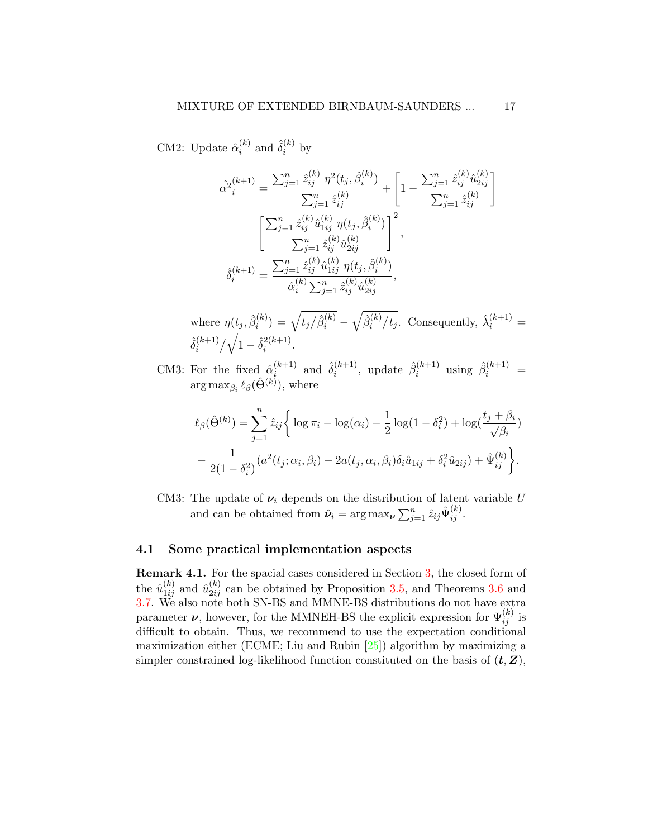CM2: Update  $\hat{\alpha}_i^{(k)}$  $\binom{k}{i}$  and  $\hat{\delta}_i^{(k)}$  $i^{(\kappa)}$  by

$$
\hat{\alpha}^{2}_{i}^{(k+1)} = \frac{\sum_{j=1}^{n} \hat{z}_{ij}^{(k)} \eta^{2}(t_j, \hat{\beta}_{i}^{(k)})}{\sum_{j=1}^{n} \hat{z}_{ij}^{(k)}} + \left[1 - \frac{\sum_{j=1}^{n} \hat{z}_{ij}^{(k)} \hat{u}_{2ij}^{(k)}}{\sum_{j=1}^{n} \hat{z}_{ij}^{(k)}}\right]
$$

$$
\left[\frac{\sum_{j=1}^{n} \hat{z}_{ij}^{(k)} \hat{u}_{1ij}^{(k)} \eta(t_j, \hat{\beta}_{i}^{(k)})}{\sum_{j=1}^{n} \hat{z}_{ij}^{(k)} \hat{u}_{2ij}^{(k)}}\right]^{2},
$$

$$
\hat{\delta}_{i}^{(k+1)} = \frac{\sum_{j=1}^{n} \hat{z}_{ij}^{(k)} \hat{u}_{1ij}^{(k)} \eta(t_j, \hat{\beta}_{i}^{(k)})}{\hat{\alpha}_{i}^{(k)} \sum_{j=1}^{n} \hat{z}_{ij}^{(k)} \hat{u}_{2ij}^{(k)}},
$$

where  $\eta(t_j, \hat{\beta}_i^{(k)})$  $\hat{b}_i^{(k)}) = \sqrt{t_j \big/ \hat{\beta}_i^{(k)}} - \sqrt{\hat{\beta}_i^{(k)}}$  $i^{(k)}/t_j$ . Consequently,  $\hat{\lambda}_i^{(k+1)}$  =  $\hat{\delta}_i^{(k+1)}$  $i^{(k+1)}/\sqrt{1-\hat{\delta}_i^{2(k+1)}}$  $\frac{2(k+1)}{i}$ .

CM3: For the fixed  $\hat{\alpha}_i^{(k+1)}$  $\hat{\delta}_i^{(k+1)}$  and  $\hat{\delta}_i^{(k+1)}$  $\hat{\beta}_i^{(k+1)}$ , update  $\hat{\beta}_i^{(k+1)}$  $i^{(k+1)}$  using  $\hat{\beta}_i^{(k+1)}$  =  $\arg \max_{\beta_i} \ell_\beta(\hat{\Theta}^{(k)}), \text{ where}$ 

$$
\ell_{\beta}(\hat{\Theta}^{(k)}) = \sum_{j=1}^{n} \hat{z}_{ij} \left\{ \log \pi_{i} - \log(\alpha_{i}) - \frac{1}{2} \log(1 - \delta_{i}^{2}) + \log(\frac{t_{j} + \beta_{i}}{\sqrt{\beta_{i}}}) - \frac{1}{2(1 - \delta_{i}^{2})} (a^{2}(t_{j}; \alpha_{i}, \beta_{i}) - 2a(t_{j}, \alpha_{i}, \beta_{i})\delta_{i}\hat{u}_{1ij} + \delta_{i}^{2}\hat{u}_{2ij}) + \hat{\Psi}_{ij}^{(k)} \right\}.
$$

CM3: The update of  $\nu_i$  depends on the distribution of latent variable U and can be obtained from  $\hat{\nu}_i = \arg \max_{\nu} \sum_{j=1}^n \hat{z}_{ij} \hat{\Psi}_{ij}^{(k)}$ .

#### 4.1 Some practical implementation aspects

Remark 4.1. For the spacial cases considered in Section [3,](#page-6-0) the closed form of the  $\hat{u}_{1ij}^{(k)}$  and  $\hat{u}_{2ij}^{(k)}$  can be obtained by Proposition [3.5,](#page-10-0) and Theorems [3.6](#page-11-1) and [3.7.](#page-12-0) We also note both SN-BS and MMNE-BS distributions do not have extra parameter  $\nu$ , however, for the MMNEH-BS the explicit expression for  $\Psi_{ij}^{(k)}$  is difficult to obtain. Thus, we recommend to use the expectation conditional maximization either (ECME; Liu and Rubin [\[25\]](#page-30-9)) algorithm by maximizing a simpler constrained log-likelihood function constituted on the basis of  $(t, Z)$ ,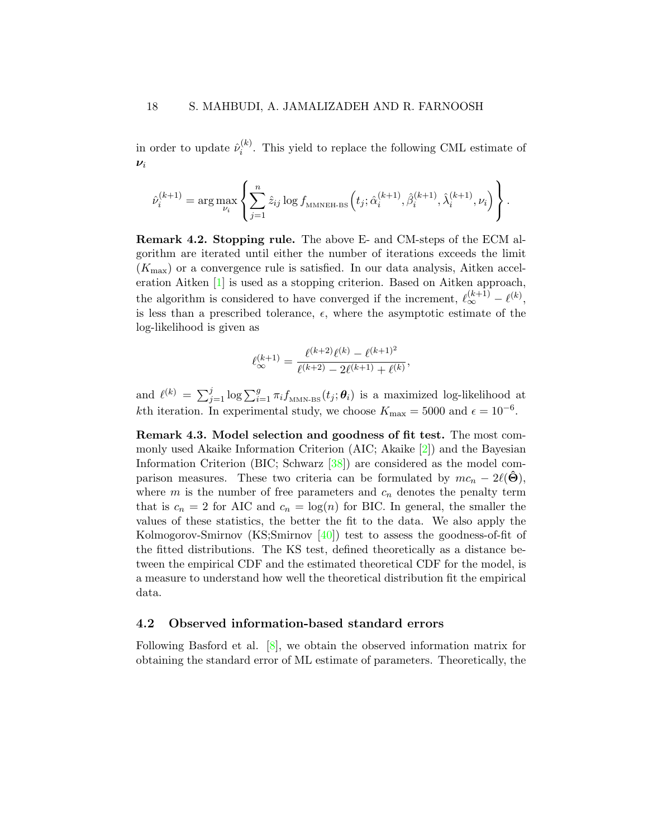in order to update  $\hat{\nu}_i^{(k)}$  $i^{(k)}$ . This yield to replace the following CML estimate of  $\nu_i$ 

$$
\hat{\nu}_i^{(k+1)} = \arg\max_{\nu_i} \left\{ \sum_{j=1}^n \hat{z}_{ij} \log f_{\text{MMNEH-BS}}\left(t_j; \hat{\alpha}_i^{(k+1)}, \hat{\beta}_i^{(k+1)}, \hat{\lambda}_i^{(k+1)}, \nu_i\right) \right\}.
$$

Remark 4.2. Stopping rule. The above E- and CM-steps of the ECM algorithm are iterated until either the number of iterations exceeds the limit  $(K_{\text{max}})$  or a convergence rule is satisfied. In our data analysis, Aitken acceleration Aitken [\[1\]](#page-28-4) is used as a stopping criterion. Based on Aitken approach, the algorithm is considered to have converged if the increment,  $\ell_{\infty}^{(k+1)} - \ell^{(k)}$ , is less than a prescribed tolerance,  $\epsilon$ , where the asymptotic estimate of the log-likelihood is given as

$$
\ell_{\infty}^{(k+1)} = \frac{\ell^{(k+2)}\ell^{(k)} - \ell^{(k+1)^2}}{\ell^{(k+2)} - 2\ell^{(k+1)} + \ell^{(k)}},
$$

and  $\ell^{(k)} = \sum_{j=1}^j \log \sum_{i=1}^g \pi_i f_{\text{MMN-BS}}(t_j;\theta_i)$  is a maximized log-likelihood at kth iteration. In experimental study, we choose  $K_{\text{max}} = 5000$  and  $\epsilon = 10^{-6}$ .

Remark 4.3. Model selection and goodness of fit test. The most commonly used Akaike Information Criterion (AIC; Akaike [\[2\]](#page-28-5)) and the Bayesian Information Criterion (BIC; Schwarz [\[38\]](#page-31-8)) are considered as the model comparison measures. These two criteria can be formulated by  $mc_n - 2\ell(\ddot{\Theta})$ , where m is the number of free parameters and  $c_n$  denotes the penalty term that is  $c_n = 2$  for AIC and  $c_n = \log(n)$  for BIC. In general, the smaller the values of these statistics, the better the fit to the data. We also apply the Kolmogorov-Smirnov (KS;Smirnov [\[40\]](#page-31-9)) test to assess the goodness-of-fit of the fitted distributions. The KS test, defined theoretically as a distance between the empirical CDF and the estimated theoretical CDF for the model, is a measure to understand how well the theoretical distribution fit the empirical data.

#### 4.2 Observed information-based standard errors

Following Basford et al. [\[8\]](#page-29-7), we obtain the observed information matrix for obtaining the standard error of ML estimate of parameters. Theoretically, the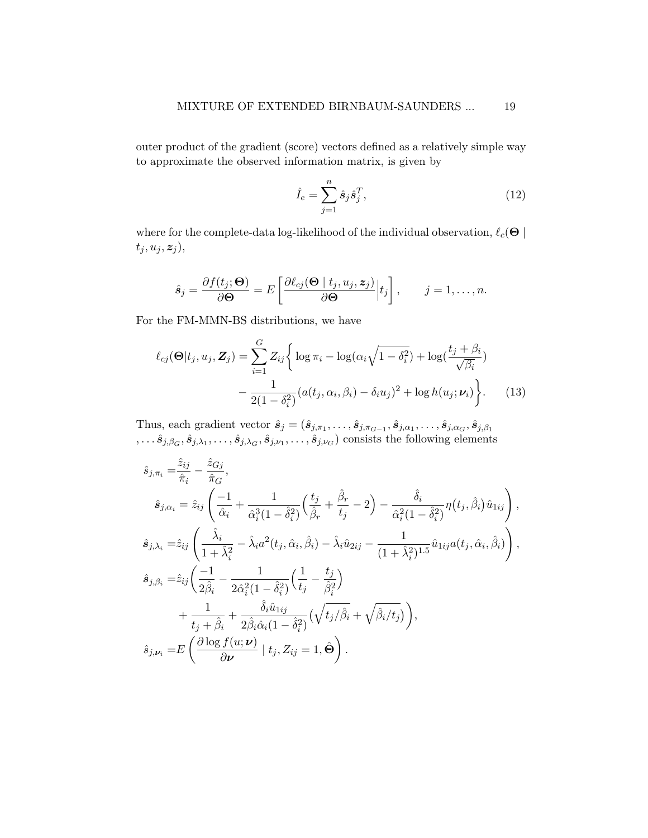outer product of the gradient (score) vectors defined as a relatively simple way to approximate the observed information matrix, is given by

<span id="page-18-0"></span>
$$
\hat{I}_e = \sum_{j=1}^n \hat{s}_j \hat{s}_j^T,\tag{12}
$$

where for the complete-data log-likelihood of the individual observation,  $\ell_c(\Theta \mid$  $t_j, u_j, z_j$ ),

$$
\hat{\boldsymbol{s}}_j = \frac{\partial f(t_j; \boldsymbol{\Theta})}{\partial \boldsymbol{\Theta}} = E\left[\frac{\partial \ell_{cj}(\boldsymbol{\Theta} \mid t_j, u_j, \boldsymbol{z}_j)}{\partial \boldsymbol{\Theta}} \Big| t_j \right], \qquad j = 1, \dots, n.
$$

For the FM-MMN-BS distributions, we have

$$
\ell_{cj}(\mathbf{\Theta}|t_j, u_j, \mathbf{Z}_j) = \sum_{i=1}^G Z_{ij} \bigg\{ \log \pi_i - \log(\alpha_i \sqrt{1 - \delta_i^2}) + \log(\frac{t_j + \beta_i}{\sqrt{\beta_i}}) - \frac{1}{2(1 - \delta_i^2)} (a(t_j, \alpha_i, \beta_i) - \delta_i u_j)^2 + \log h(u_j; \nu_i) \bigg\}.
$$
(13)

Thus, each gradient vector  $\hat{s}_j = (\hat{s}_{j,\pi_1}, \dots, \hat{s}_{j,\pi_{G-1}}, \hat{s}_{j,\alpha_1}, \dots, \hat{s}_{j,\alpha_G}, \hat{s}_{j,\beta_1})$  $,\ldots\hat{s}_{j,\beta_G},\hat{s}_{j,\lambda_1},\ldots,\hat{s}_{j,\lambda_G},\hat{s}_{j,\nu_1},\ldots,\hat{s}_{j,\nu_G}) \text{ consists the following elements}$ 

$$
\hat{s}_{j,\pi_i} = \frac{\hat{z}_{ij}}{\hat{\pi}_i} - \frac{\hat{z}_{Gj}}{\hat{\pi}_G},
$$
\n
$$
\hat{s}_{j,\alpha_i} = \hat{z}_{ij} \left( \frac{-1}{\hat{\alpha}_i} + \frac{1}{\hat{\alpha}_i^3 (1 - \hat{\delta}_i^2)} \left( \frac{t_j}{\hat{\beta}_r} + \frac{\hat{\beta}_r}{t_j} - 2 \right) - \frac{\hat{\delta}_i}{\hat{\alpha}_i^2 (1 - \hat{\delta}_i^2)} \eta(t_j, \hat{\beta}_i) \hat{u}_{1ij} \right),
$$
\n
$$
\hat{s}_{j,\lambda_i} = \hat{z}_{ij} \left( \frac{\hat{\lambda}_i}{1 + \hat{\lambda}_i^2} - \hat{\lambda}_i a^2(t_j, \hat{\alpha}_i, \hat{\beta}_i) - \hat{\lambda}_i \hat{u}_{2ij} - \frac{1}{(1 + \hat{\lambda}_i^2)^{1.5}} \hat{u}_{1ij} a(t_j, \hat{\alpha}_i, \hat{\beta}_i) \right),
$$
\n
$$
\hat{s}_{j,\beta_i} = \hat{z}_{ij} \left( \frac{-1}{2\hat{\beta}_i} - \frac{1}{2\hat{\alpha}_i^2 (1 - \hat{\delta}_i^2)} \left( \frac{1}{t_j} - \frac{t_j}{\hat{\beta}_i^2} \right) + \frac{1}{t_j + \hat{\beta}_i} + \frac{\hat{\delta}_i \hat{u}_{1ij}}{2\hat{\beta}_i \hat{\alpha}_i (1 - \hat{\delta}_i^2)} \left( \sqrt{t_j/\hat{\beta}_i} + \sqrt{\hat{\beta}_i/t_j} \right) \right),
$$
\n
$$
\hat{s}_{j,\nu_i} = E \left( \frac{\partial \log f(u;\nu)}{\partial \nu} \mid t_j, Z_{ij} = 1, \hat{\Theta} \right).
$$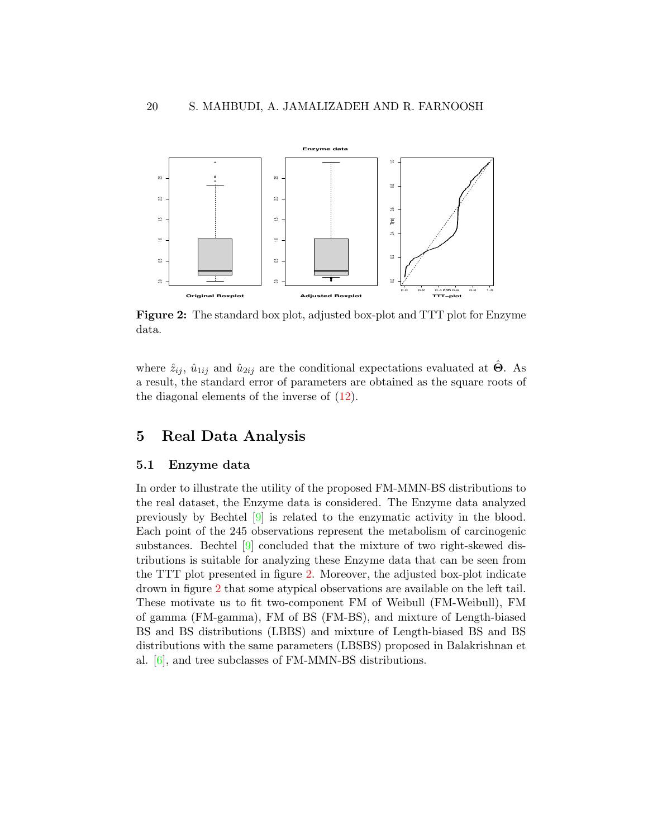<span id="page-19-1"></span>

Figure 2: The standard box plot, adjusted box-plot and TTT plot for Enzyme data.

where  $\hat{z}_{ij}$ ,  $\hat{u}_{1ij}$  and  $\hat{u}_{2ij}$  are the conditional expectations evaluated at  $\hat{\Theta}$ . As a result, the standard error of parameters are obtained as the square roots of the diagonal elements of the inverse of  $(12)$ .

### <span id="page-19-0"></span>5 Real Data Analysis

#### 5.1 Enzyme data

In order to illustrate the utility of the proposed FM-MMN-BS distributions to the real dataset, the Enzyme data is considered. The Enzyme data analyzed previously by Bechtel [\[9\]](#page-29-8) is related to the enzymatic activity in the blood. Each point of the 245 observations represent the metabolism of carcinogenic substances. Bechtel [\[9\]](#page-29-8) concluded that the mixture of two right-skewed distributions is suitable for analyzing these Enzyme data that can be seen from the TTT plot presented in figure [2.](#page-19-1) Moreover, the adjusted box-plot indicate drown in figure [2](#page-19-1) that some atypical observations are available on the left tail. These motivate us to fit two-component FM of Weibull (FM-Weibull), FM of gamma (FM-gamma), FM of BS (FM-BS), and mixture of Length-biased BS and BS distributions (LBBS) and mixture of Length-biased BS and BS distributions with the same parameters (LBSBS) proposed in Balakrishnan et al. [\[6\]](#page-28-6), and tree subclasses of FM-MMN-BS distributions.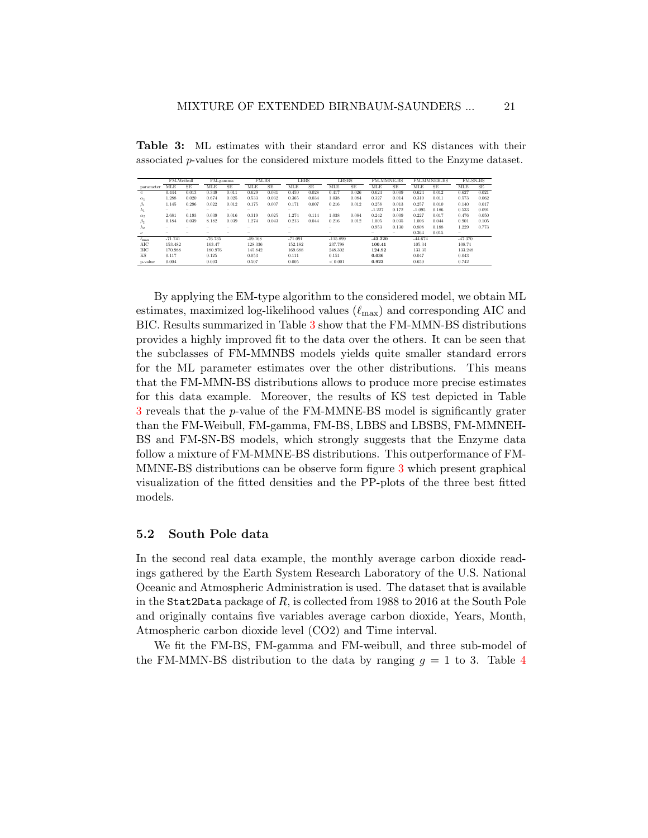|                    | FM-Weibull |           |            | $\overline{\text{FM}}$ -gamma | FM-BS     |       | <b>LBBS</b> |           | <b>LBSBS</b>             |           | <b>FM-MMNE-BS</b> |           |            | <b>FM-MMNEH-BS</b> |            | FM-SN-BS  |
|--------------------|------------|-----------|------------|-------------------------------|-----------|-------|-------------|-----------|--------------------------|-----------|-------------------|-----------|------------|--------------------|------------|-----------|
| parameter          | MLE        | <b>SE</b> | <b>MLE</b> | <b>SE</b>                     | MLE       | SE    | MLE         | <b>SE</b> | <b>MLE</b>               | <b>SE</b> | MLE               | <b>SE</b> | <b>MLE</b> | <b>SE</b>          | <b>MLE</b> | <b>SE</b> |
| $\pi$              | 0.444      | 0.013     | 0.349      | 0.011                         | 0.629     | 0.031 | 0.450       | 0.028     | 0.417                    | 0.026     | 0.624             | 0.009     | 0.624      | 0.012              | 0.627      | 0.021     |
| $\alpha_1$         | 1.288      | 0.020     | 0.674      | 0.025                         | 0.533     | 0.032 | 0.365       | 0.034     | 1.038                    | 0.084     | 0.327             | 0.014     | 0.310      | 0.011              | 0.573      | 0.062     |
| $\beta_1$          | 1.145      | 0.296     | 0.022      | 0.012                         | 0.175     | 0.007 | 0.171       | 0.007     | 0.216                    | 0.012     | 0.258             | 0.013     | 0.257      | 0.010              | 0.140      | 0.017     |
| $\lambda_1$        | $\sim$     |           | $\sim$     | -                             | $\sim$    |       | $\sim$      |           | $\sim$                   |           | $-1.227$          | 0.172     | $-1.095$   | 0.186              | 0.533      | 0.091     |
| $\alpha_2$         | 2.681      | 0.193     | 0.039      | 0.016                         | 0.319     | 0.025 | 1.274       | 0.114     | 1.038                    | 0.084     | 0.242             | 0.009     | 0.227      | 0.017              | 0.476      | 0.050     |
| $\beta_2$          | 0.184      | 0.039     | 8.182      | 0.039                         | 1.274     | 0.043 | 0.213       | 0.044     | 0.216                    | 0.012     | 1.005             | 0.035     | 1.006      | 0.044              | 0.901      | 0.105     |
| $\lambda_2$        |            | -         | $\sim$     |                               |           |       | $\sim$      |           | $\overline{\phantom{a}}$ |           | 0.953             | 0.130     | 0.808      | 0.188              | 1.229      | 0.773     |
| $\boldsymbol{\nu}$ |            |           |            | -                             |           |       | -           |           |                          |           | $\sim$            | $\sim$    | 0.364      | 0.015              | $\sim$     |           |
| $\ell_{\rm max}$   | $-71.741$  |           | $-76.735$  |                               | $-59.168$ |       | $-71.091$   |           | $-115.899$               |           | $-43.220$         |           | $-44.674$  |                    | $-47.370$  |           |
| AIC                | 153.482    |           | 163.47     |                               | 128.336   |       | 152.182     |           | 237.798                  |           | 100.41            |           | 105.34     |                    | 108.74     |           |
| BIC                | 170.988    |           | 180.976    |                               | 145.842   |       | 169.688     |           | 248.302                  |           | 124.92            |           | 133.35     |                    | 133.248    |           |
| KS                 | 0.117      |           | 0.125      |                               | 0.053     |       | 0.111       |           | 0.151                    |           | 0.036             |           | 0.047      |                    | 0.043      |           |
| p-value            | 0.004      |           | 0.003      |                               | 0.507     |       | 0.005       |           | ${}< 0.001$              |           | 0.923             |           | 0.650      |                    | 0.742      |           |

<span id="page-20-0"></span>Table 3: ML estimates with their standard error and KS distances with their associated p-values for the considered mixture models fitted to the Enzyme dataset.

By applying the EM-type algorithm to the considered model, we obtain ML estimates, maximized log-likelihood values  $(\ell_{\text{max}})$  and corresponding AIC and BIC. Results summarized in Table [3](#page-20-0) show that the FM-MMN-BS distributions provides a highly improved fit to the data over the others. It can be seen that the subclasses of FM-MMNBS models yields quite smaller standard errors for the ML parameter estimates over the other distributions. This means that the FM-MMN-BS distributions allows to produce more precise estimates for this data example. Moreover, the results of KS test depicted in Table [3](#page-20-0) reveals that the p-value of the FM-MMNE-BS model is significantly grater than the FM-Weibull, FM-gamma, FM-BS, LBBS and LBSBS, FM-MMNEH-BS and FM-SN-BS models, which strongly suggests that the Enzyme data follow a mixture of FM-MMNE-BS distributions. This outperformance of FM-MMNE-BS distributions can be observe form figure [3](#page-21-0) which present graphical visualization of the fitted densities and the PP-plots of the three best fitted models.

### 5.2 South Pole data

In the second real data example, the monthly average carbon dioxide readings gathered by the Earth System Research Laboratory of the U.S. National Oceanic and Atmospheric Administration is used. The dataset that is available in the Stat2Data package of R, is collected from 1988 to 2016 at the South Pole and originally contains five variables average carbon dioxide, Years, Month, Atmospheric carbon dioxide level (CO2) and Time interval.

We fit the FM-BS, FM-gamma and FM-weibull, and three sub-model of the FM-MMN-BS distribution to the data by ranging  $g = 1$  to 3. Table [4](#page-22-1)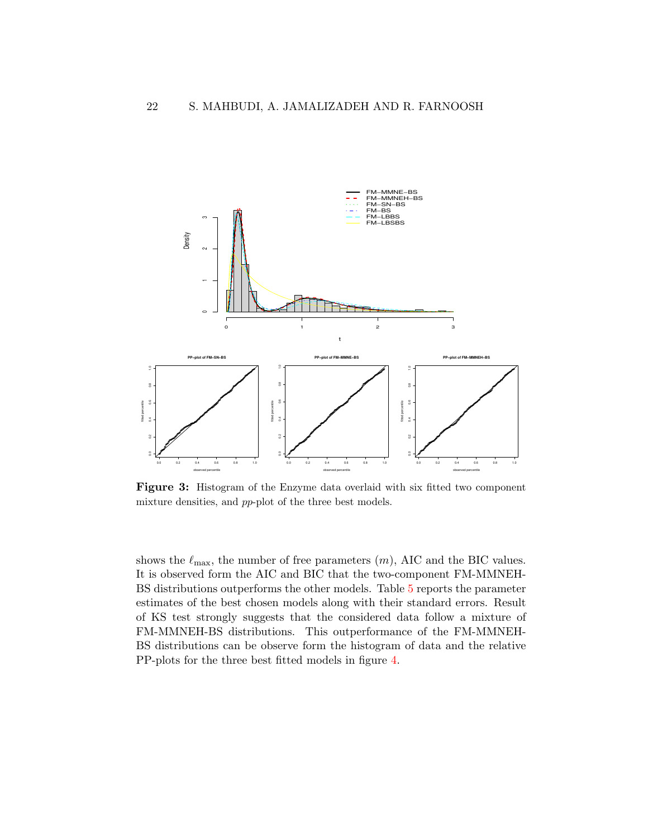<span id="page-21-0"></span>

Figure 3: Histogram of the Enzyme data overlaid with six fitted two component mixture densities, and pp-plot of the three best models.

shows the  $\ell_{\text{max}}$ , the number of free parameters  $(m)$ , AIC and the BIC values. It is observed form the AIC and BIC that the two-component FM-MMNEH-BS distributions outperforms the other models. Table [5](#page-23-0) reports the parameter estimates of the best chosen models along with their standard errors. Result of KS test strongly suggests that the considered data follow a mixture of FM-MMNEH-BS distributions. This outperformance of the FM-MMNEH-BS distributions can be observe form the histogram of data and the relative PP-plots for the three best fitted models in figure [4.](#page-24-0)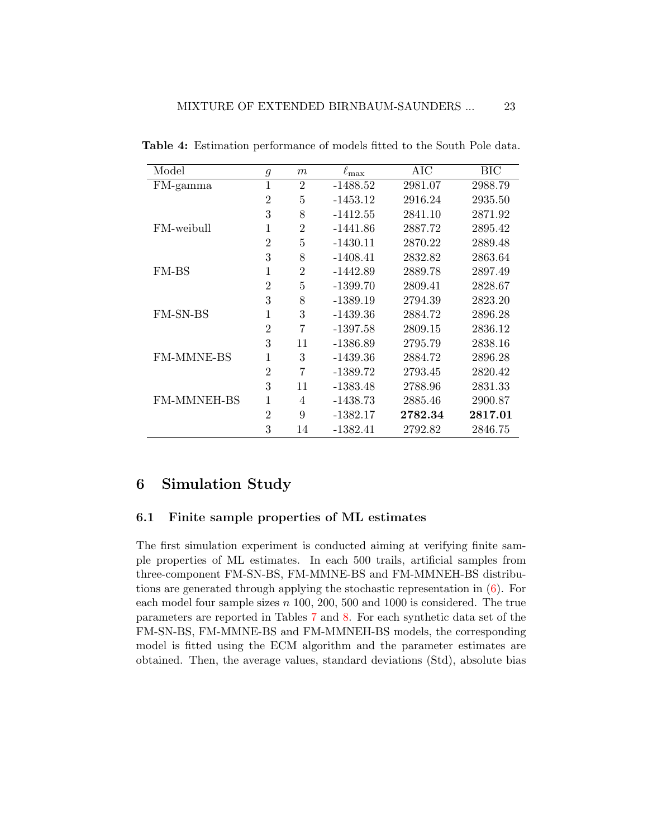| Model              | $\mathfrak g$  | m              | $\ell_{\rm max}$ | AIC     | BIC     |
|--------------------|----------------|----------------|------------------|---------|---------|
| FM-gamma           | $\mathbf 1$    | $\overline{2}$ | $-1488.52$       | 2981.07 | 2988.79 |
|                    | $\overline{2}$ | 5              | $-1453.12$       | 2916.24 | 2935.50 |
|                    | 3              | 8              | $-1412.55$       | 2841.10 | 2871.92 |
| FM-weibull         | 1              | $\overline{2}$ | $-1441.86$       | 2887.72 | 2895.42 |
|                    | $\overline{2}$ | 5              | $-1430.11$       | 2870.22 | 2889.48 |
|                    | 3              | 8              | $-1408.41$       | 2832.82 | 2863.64 |
| FM-BS              | 1              | $\overline{2}$ | $-1442.89$       | 2889.78 | 2897.49 |
|                    | $\overline{2}$ | 5              | $-1399.70$       | 2809.41 | 2828.67 |
|                    | 3              | 8              | $-1389.19$       | 2794.39 | 2823.20 |
| <b>FM-SN-BS</b>    | 1              | 3              | $-1439.36$       | 2884.72 | 2896.28 |
|                    | $\overline{2}$ | 7              | $-1397.58$       | 2809.15 | 2836.12 |
|                    | 3              | 11             | $-1386.89$       | 2795.79 | 2838.16 |
| <b>FM-MMNE-BS</b>  | 1              | 3              | $-1439.36$       | 2884.72 | 2896.28 |
|                    | $\overline{2}$ | 7              | $-1389.72$       | 2793.45 | 2820.42 |
|                    | 3              | 11             | $-1383.48$       | 2788.96 | 2831.33 |
| <b>FM-MMNEH-BS</b> | 1              | 4              | $-1438.73$       | 2885.46 | 2900.87 |
|                    | $\overline{2}$ | 9              | $-1382.17$       | 2782.34 | 2817.01 |
|                    | 3              | 14             | $-1382.41$       | 2792.82 | 2846.75 |

<span id="page-22-1"></span>Table 4: Estimation performance of models fitted to the South Pole data.

## <span id="page-22-0"></span>6 Simulation Study

### 6.1 Finite sample properties of ML estimates

The first simulation experiment is conducted aiming at verifying finite sample properties of ML estimates. In each 500 trails, artificial samples from three-component FM-SN-BS, FM-MMNE-BS and FM-MMNEH-BS distributions are generated through applying the stochastic representation in  $(6)$ . For each model four sample sizes  $n \ 100, 200, 500$  and  $1000$  is considered. The true parameters are reported in Tables [7](#page-26-0) and [8.](#page-26-1) For each synthetic data set of the FM-SN-BS, FM-MMNE-BS and FM-MMNEH-BS models, the corresponding model is fitted using the ECM algorithm and the parameter estimates are obtained. Then, the average values, standard deviations (Std), absolute bias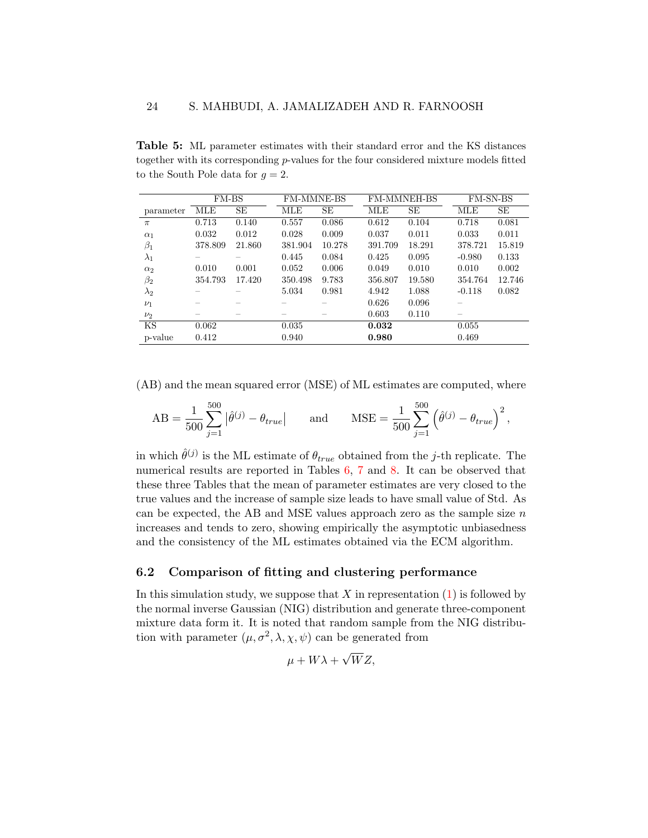<span id="page-23-0"></span>Table 5: ML parameter estimates with their standard error and the KS distances together with its corresponding  $p$ -values for the four considered mixture models fitted to the South Pole data for  $g = 2$ .

|             | <b>FM-BS</b> |        | <b>FM-MMNE-BS</b> |        | <b>FM-MMNEH-BS</b> |        | <b>FM-SN-BS</b> |        |
|-------------|--------------|--------|-------------------|--------|--------------------|--------|-----------------|--------|
| parameter   | <b>MLE</b>   | SE     | MLE               | SE     | MLE                | SЕ     | MLE             | SE     |
| $\pi$       | 0.713        | 0.140  | 0.557             | 0.086  | 0.612              | 0.104  | 0.718           | 0.081  |
| $\alpha_1$  | 0.032        | 0.012  | 0.028             | 0.009  | 0.037              | 0.011  | 0.033           | 0.011  |
| $\beta_1$   | 378.809      | 21.860 | 381.904           | 10.278 | 391.709            | 18.291 | 378.721         | 15.819 |
| $\lambda_1$ |              |        | 0.445             | 0.084  | 0.425              | 0.095  | $-0.980$        | 0.133  |
| $\alpha_2$  | 0.010        | 0.001  | 0.052             | 0.006  | 0.049              | 0.010  | 0.010           | 0.002  |
| $\beta_2$   | 354.793      | 17.420 | 350.498           | 9.783  | 356.807            | 19.580 | 354.764         | 12.746 |
| $\lambda_2$ |              |        | 5.034             | 0.981  | 4.942              | 1.088  | $-0.118$        | 0.082  |
| $\nu_1$     |              |        |                   |        | 0.626              | 0.096  |                 |        |
| $\nu_2$     |              |        |                   |        | 0.603              | 0.110  |                 |        |
| KS          | 0.062        |        | 0.035             |        | 0.032              |        | 0.055           |        |
| p-value     | 0.412        |        | 0.940             |        | 0.980              |        | 0.469           |        |

(AB) and the mean squared error (MSE) of ML estimates are computed, where

AB = 
$$
\frac{1}{500} \sum_{j=1}^{500} |\hat{\theta}^{(j)} - \theta_{true}|
$$
 and MSE =  $\frac{1}{500} \sum_{j=1}^{500} (\hat{\theta}^{(j)} - \theta_{true})^2$ ,

in which  $\hat{\theta}^{(j)}$  is the ML estimate of  $\theta_{true}$  obtained from the *j*-th replicate. The numerical results are reported in Tables  $6, 7$  $6, 7$  $6, 7$  and  $8$ . It can be observed that these three Tables that the mean of parameter estimates are very closed to the true values and the increase of sample size leads to have small value of Std. As can be expected, the AB and MSE values approach zero as the sample size  $n$ increases and tends to zero, showing empirically the asymptotic unbiasedness and the consistency of the ML estimates obtained via the ECM algorithm.

#### 6.2 Comparison of fitting and clustering performance

In this simulation study, we suppose that  $X$  in representation  $(1)$  is followed by the normal inverse Gaussian (NIG) distribution and generate three-component mixture data form it. It is noted that random sample from the NIG distribution with parameter  $(\mu, \sigma^2, \lambda, \chi, \psi)$  can be generated from

$$
\mu + W\lambda + \sqrt{W}Z,
$$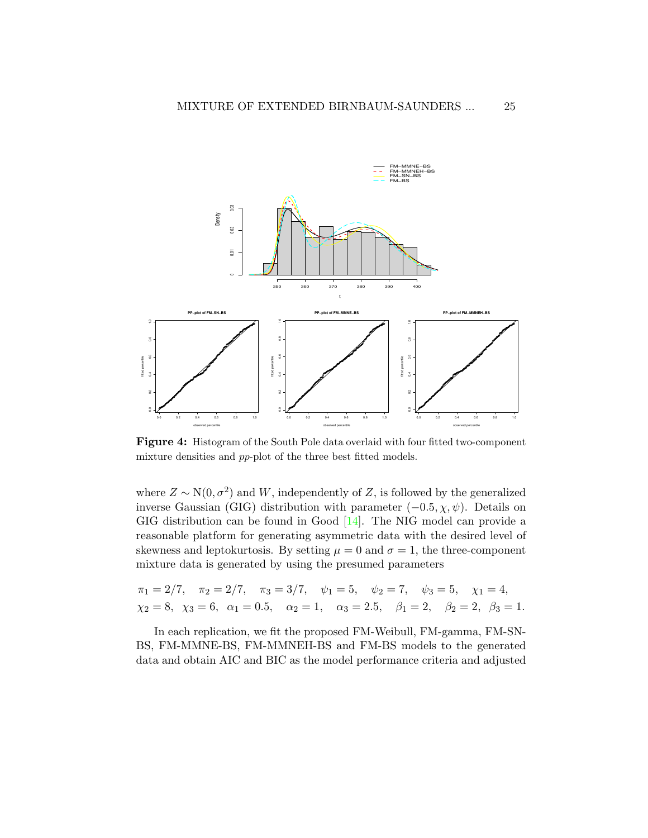<span id="page-24-0"></span>

Figure 4: Histogram of the South Pole data overlaid with four fitted two-component mixture densities and pp-plot of the three best fitted models.

where  $Z \sim N(0, \sigma^2)$  and W, independently of Z, is followed by the generalized inverse Gaussian (GIG) distribution with parameter  $(-0.5, \chi, \psi)$ . Details on GIG distribution can be found in Good [\[14\]](#page-29-9). The NIG model can provide a reasonable platform for generating asymmetric data with the desired level of skewness and leptokurtosis. By setting  $\mu = 0$  and  $\sigma = 1$ , the three-component mixture data is generated by using the presumed parameters

$$
\pi_1 = 2/7
$$
,  $\pi_2 = 2/7$ ,  $\pi_3 = 3/7$ ,  $\psi_1 = 5$ ,  $\psi_2 = 7$ ,  $\psi_3 = 5$ ,  $\chi_1 = 4$ ,  
\n $\chi_2 = 8$ ,  $\chi_3 = 6$ ,  $\alpha_1 = 0.5$ ,  $\alpha_2 = 1$ ,  $\alpha_3 = 2.5$ ,  $\beta_1 = 2$ ,  $\beta_2 = 2$ ,  $\beta_3 = 1$ .

In each replication, we fit the proposed FM-Weibull, FM-gamma, FM-SN-BS, FM-MMNE-BS, FM-MMNEH-BS and FM-BS models to the generated data and obtain AIC and BIC as the model performance criteria and adjusted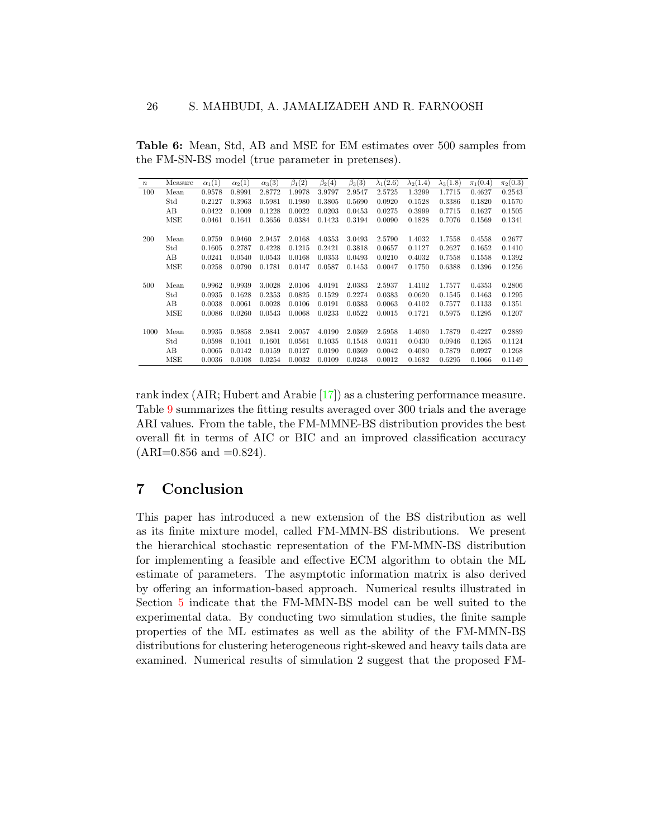<span id="page-25-1"></span>Table 6: Mean, Std, AB and MSE for EM estimates over 500 samples from the FM-SN-BS model (true parameter in pretenses).

| $\boldsymbol{n}$ | Measure | $\alpha_1(1)$ | $\alpha_2(1)$ | $\alpha_3(3)$ | $\beta_1(2)$ | $\beta_2(4)$ | $\beta_3(3)$ | $\lambda_1(2.6)$ | $\lambda_2(1.4)$ | $\lambda_3(1.8)$ | $\pi_1(0.4)$ | $\pi_2(0.3)$ |
|------------------|---------|---------------|---------------|---------------|--------------|--------------|--------------|------------------|------------------|------------------|--------------|--------------|
| 100              | Mean    | 0.9578        | 0.8991        | 2.8772        | 1.9978       | 3.9797       | 2.9547       | 2.5725           | 1.3299           | 1.7715           | 0.4627       | 0.2543       |
|                  | Std     | 0.2127        | 0.3963        | 0.5981        | 0.1980       | 0.3805       | 0.5690       | 0.0920           | 0.1528           | 0.3386           | 0.1820       | 0.1570       |
|                  | AВ      | 0.0422        | 0.1009        | 0.1228        | 0.0022       | 0.0203       | 0.0453       | 0.0275           | 0.3999           | 0.7715           | 0.1627       | 0.1505       |
|                  | MSE     | 0.0461        | 0.1641        | 0.3656        | 0.0384       | 0.1423       | 0.3194       | 0.0090           | 0.1828           | 0.7076           | 0.1569       | 0.1341       |
|                  |         |               |               |               |              |              |              |                  |                  |                  |              |              |
| 200              | Mean    | 0.9759        | 0.9460        | 2.9457        | 2.0168       | 4.0353       | 3.0493       | 2.5790           | 1.4032           | 1.7558           | 0.4558       | 0.2677       |
|                  | Std     | 0.1605        | 0.2787        | 0.4228        | 0.1215       | 0.2421       | 0.3818       | 0.0657           | 0.1127           | 0.2627           | 0.1652       | 0.1410       |
|                  | AВ      | 0.0241        | 0.0540        | 0.0543        | 0.0168       | 0.0353       | 0.0493       | 0.0210           | 0.4032           | 0.7558           | 0.1558       | 0.1392       |
|                  | MSE     | 0.0258        | 0.0790        | 0.1781        | 0.0147       | 0.0587       | 0.1453       | 0.0047           | 0.1750           | 0.6388           | 0.1396       | 0.1256       |
|                  |         |               |               |               |              |              |              |                  |                  |                  |              |              |
| 500              | Mean    | 0.9962        | 0.9939        | 3.0028        | 2.0106       | 4.0191       | 2.0383       | 2.5937           | 1.4102           | 1.7577           | 0.4353       | 0.2806       |
|                  | Std     | 0.0935        | 0.1628        | 0.2353        | 0.0825       | 0.1529       | 0.2274       | 0.0383           | 0.0620           | 0.1545           | 0.1463       | 0.1295       |
|                  | AВ      | 0.0038        | 0.0061        | 0.0028        | 0.0106       | 0.0191       | 0.0383       | 0.0063           | 0.4102           | 0.7577           | 0.1133       | 0.1351       |
|                  | MSE     | 0.0086        | 0.0260        | 0.0543        | 0.0068       | 0.0233       | 0.0522       | 0.0015           | 0.1721           | 0.5975           | 0.1295       | 0.1207       |
|                  |         |               |               |               |              |              |              |                  |                  |                  |              |              |
| 1000             | Mean    | 0.9935        | 0.9858        | 2.9841        | 2.0057       | 4.0190       | 2.0369       | 2.5958           | 1.4080           | 1.7879           | 0.4227       | 0.2889       |
|                  | Std     | 0.0598        | 0.1041        | 0.1601        | 0.0561       | 0.1035       | 0.1548       | 0.0311           | 0.0430           | 0.0946           | 0.1265       | 0.1124       |
|                  | AВ      | 0.0065        | 0.0142        | 0.0159        | 0.0127       | 0.0190       | 0.0369       | 0.0042           | 0.4080           | 0.7879           | 0.0927       | 0.1268       |
|                  | MSE     | 0.0036        | 0.0108        | 0.0254        | 0.0032       | 0.0109       | 0.0248       | 0.0012           | 0.1682           | 0.6295           | 0.1066       | 0.1149       |

rank index (AIR; Hubert and Arabie [\[17\]](#page-29-10)) as a clustering performance measure. Table [9](#page-27-0) summarizes the fitting results averaged over 300 trials and the average ARI values. From the table, the FM-MMNE-BS distribution provides the best overall fit in terms of AIC or BIC and an improved classification accuracy  $(ARI=0.856$  and  $=0.824$ ).

### <span id="page-25-0"></span>7 Conclusion

This paper has introduced a new extension of the BS distribution as well as its finite mixture model, called FM-MMN-BS distributions. We present the hierarchical stochastic representation of the FM-MMN-BS distribution for implementing a feasible and effective ECM algorithm to obtain the ML estimate of parameters. The asymptotic information matrix is also derived by offering an information-based approach. Numerical results illustrated in Section [5](#page-19-0) indicate that the FM-MMN-BS model can be well suited to the experimental data. By conducting two simulation studies, the finite sample properties of the ML estimates as well as the ability of the FM-MMN-BS distributions for clustering heterogeneous right-skewed and heavy tails data are examined. Numerical results of simulation 2 suggest that the proposed FM-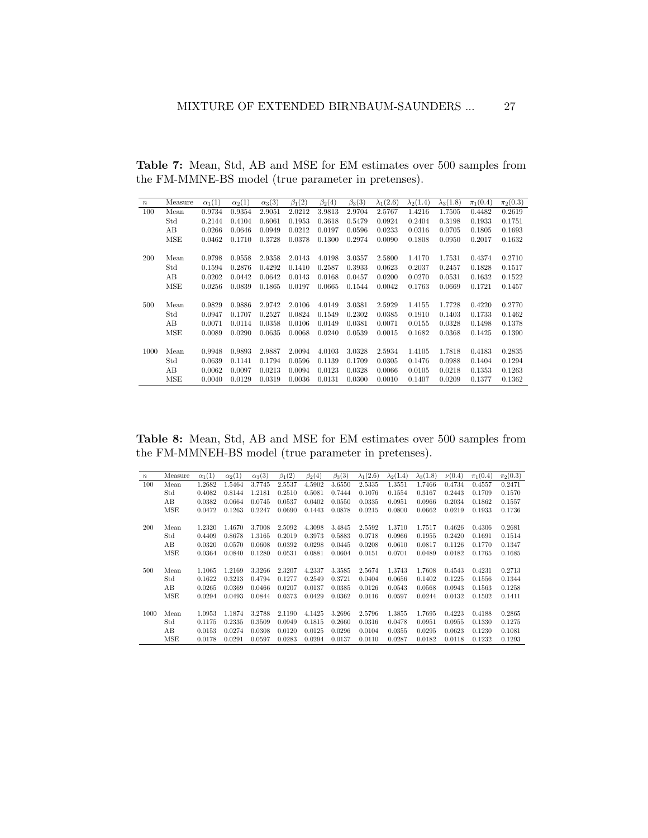| $\boldsymbol{n}$ | Measure | $\alpha_1(1)$ | $\alpha_2(1)$ | $\alpha_3(3)$ | $\beta_1(2)$ | $\beta_2(4)$ | $\beta_3(3)$ | $\lambda_1(2.6)$ | $\lambda_2(1.4)$ | $\lambda_3(1.8)$ | $\pi_1(0.4)$ | $\pi_2(0.3)$ |
|------------------|---------|---------------|---------------|---------------|--------------|--------------|--------------|------------------|------------------|------------------|--------------|--------------|
| 100              | Mean    | 0.9734        | 0.9354        | 2.9051        | 2.0212       | 3.9813       | 2.9704       | 2.5767           | 1.4216           | 1.7505           | 0.4482       | 0.2619       |
|                  | Std     | 0.2144        | 0.4104        | 0.6061        | 0.1953       | 0.3618       | 0.5479       | 0.0924           | 0.2404           | 0.3198           | 0.1933       | 0.1751       |
|                  | AВ      | 0.0266        | 0.0646        | 0.0949        | 0.0212       | 0.0197       | 0.0596       | 0.0233           | 0.0316           | 0.0705           | 0.1805       | 0.1693       |
|                  | MSE     | 0.0462        | 0.1710        | 0.3728        | 0.0378       | 0.1300       | 0.2974       | 0.0090           | 0.1808           | 0.0950           | 0.2017       | 0.1632       |
|                  |         |               |               |               |              |              |              |                  |                  |                  |              |              |
| 200              | Mean    | 0.9798        | 0.9558        | 2.9358        | 2.0143       | 4.0198       | 3.0357       | 2.5800           | 1.4170           | 1.7531           | 0.4374       | 0.2710       |
|                  | Std     | 0.1594        | 0.2876        | 0.4292        | 0.1410       | 0.2587       | 0.3933       | 0.0623           | 0.2037           | 0.2457           | 0.1828       | 0.1517       |
|                  | AB      | 0.0202        | 0.0442        | 0.0642        | 0.0143       | 0.0168       | 0.0457       | 0.0200           | 0.0270           | 0.0531           | 0.1632       | 0.1522       |
|                  | MSE     | 0.0256        | 0.0839        | 0.1865        | 0.0197       | 0.0665       | 0.1544       | 0.0042           | 0.1763           | 0.0669           | 0.1721       | 0.1457       |
|                  |         |               |               |               |              |              |              |                  |                  |                  |              |              |
| 500              | Mean    | 0.9829        | 0.9886        | 2.9742        | 2.0106       | 4.0149       | 3.0381       | 2.5929           | 1.4155           | 1.7728           | 0.4220       | 0.2770       |
|                  | Std     | 0.0947        | 0.1707        | 0.2527        | 0.0824       | 0.1549       | 0.2302       | 0.0385           | 0.1910           | 0.1403           | 0.1733       | 0.1462       |
|                  | AВ      | 0.0071        | 0.0114        | 0.0358        | 0.0106       | 0.0149       | 0.0381       | 0.0071           | 0.0155           | 0.0328           | 0.1498       | 0.1378       |
|                  | MSE     | 0.0089        | 0.0290        | 0.0635        | 0.0068       | 0.0240       | 0.0539       | 0.0015           | 0.1682           | 0.0368           | 0.1425       | 0.1390       |
|                  |         |               |               |               |              |              |              |                  |                  |                  |              |              |
| 1000             | Mean    | 0.9948        | 0.9893        | 2.9887        | 2.0094       | 4.0103       | 3.0328       | 2.5934           | 1.4105           | 1.7818           | 0.4183       | 0.2835       |
|                  | Std     | 0.0639        | 0.1141        | 0.1794        | 0.0596       | 0.1139       | 0.1709       | 0.0305           | 0.1476           | 0.0988           | 0.1404       | 0.1294       |
|                  | AВ      | 0.0062        | 0.0097        | 0.0213        | 0.0094       | 0.0123       | 0.0328       | 0.0066           | 0.0105           | 0.0218           | 0.1353       | 0.1263       |
|                  | MSE     | 0.0040        | 0.0129        | 0.0319        | 0.0036       | 0.0131       | 0.0300       | 0.0010           | 0.1407           | 0.0209           | 0.1377       | 0.1362       |

<span id="page-26-0"></span>Table 7: Mean, Std, AB and MSE for EM estimates over 500 samples from the FM-MMNE-BS model (true parameter in pretenses).

<span id="page-26-1"></span>Table 8: Mean, Std, AB and MSE for EM estimates over 500 samples from the FM-MMNEH-BS model (true parameter in pretenses).

| $\boldsymbol{n}$ | Measure | $\alpha_1(1)$ | $\alpha_2(1)$ | $\alpha_3(3)$ | $\beta_1(2)$ | $\beta_2(4)$ | $\beta_3(3)$ | $\lambda_1(2.6)$ | $\lambda_2(1.4)$ | $\lambda_3(1.8)$ | $\nu(0.4)$ | $\pi_1(0.4)$ | $\pi_2(0.3)$ |
|------------------|---------|---------------|---------------|---------------|--------------|--------------|--------------|------------------|------------------|------------------|------------|--------------|--------------|
| 100              | Mean    | 1.2682        | 1.5464        | 3.7745        | 2.5537       | 4.5902       | 3.6550       | 2.5335           | 1.3551           | 1.7466           | 0.4734     | 0.4557       | 0.2471       |
|                  | Std     | 0.4082        | 0.8144        | 1.2181        | 0.2510       | 0.5081       | 0.7444       | 0.1076           | 0.1554           | 0.3167           | 0.2443     | 0.1709       | 0.1570       |
|                  | AВ      | 0.0382        | 0.0664        | 0.0745        | 0.0537       | 0.0402       | 0.0550       | 0.0335           | 0.0951           | 0.0966           | 0.2034     | 0.1862       | 0.1557       |
|                  | MSE     | 0.0472        | 0.1263        | 0.2247        | 0.0690       | 0.1443       | 0.0878       | 0.0215           | 0.0800           | 0.0662           | 0.0219     | 0.1933       | 0.1736       |
|                  |         |               |               |               |              |              |              |                  |                  |                  |            |              |              |
| 200              | Mean    | 1.2320        | 1.4670        | 3.7008        | 2.5092       | 4.3098       | 3.4845       | 2.5592           | 1.3710           | 1.7517           | 0.4626     | 0.4306       | 0.2681       |
|                  | Std     | 0.4409        | 0.8678        | 1.3165        | 0.2019       | 0.3973       | 0.5883       | 0.0718           | 0.0966           | 0.1955           | 0.2420     | 0.1691       | 0.1514       |
|                  | AВ      | 0.0320        | 0.0570        | 0.0608        | 0.0392       | 0.0298       | 0.0445       | 0.0208           | 0.0610           | 0.0817           | 0.1126     | 0.1770       | 0.1347       |
|                  | MSE     | 0.0364        | 0.0840        | 0.1280        | 0.0531       | 0.0881       | 0.0604       | 0.0151           | 0.0701           | 0.0489           | 0.0182     | 0.1765       | 0.1685       |
|                  |         |               |               |               |              |              |              |                  |                  |                  |            |              |              |
| 500              | Mean    | 1.1065        | 1.2169        | 3.3266        | 2.3207       | 4.2337       | 3.3585       | 2.5674           | 1.3743           | 1.7608           | 0.4543     | 0.4231       | 0.2713       |
|                  | Std     | 0.1622        | 0.3213        | 0.4794        | 0.1277       | 0.2549       | 0.3721       | 0.0404           | 0.0656           | 0.1402           | 0.1225     | 0.1556       | 0.1344       |
|                  | AВ      | 0.0265        | 0.0369        | 0.0466        | 0.0207       | 0.0137       | 0.0385       | 0.0126           | 0.0543           | 0.0568           | 0.0943     | 0.1563       | 0.1258       |
|                  | MSE     | 0.0294        | 0.0493        | 0.0844        | 0.0373       | 0.0429       | 0.0362       | 0.0116           | 0.0597           | 0.0244           | 0.0132     | 0.1502       | 0.1411       |
|                  |         |               |               |               |              |              |              |                  |                  |                  |            |              |              |
| 1000             | Mean    | 1.0953        | 1.1874        | 3.2788        | 2.1190       | 4.1425       | 3.2696       | 2.5796           | 1.3855           | 1.7695           | 0.4223     | 0.4188       | 0.2865       |
|                  | Std     | 0.1175        | 0.2335        | 0.3509        | 0.0949       | 0.1815       | 0.2660       | 0.0316           | 0.0478           | 0.0951           | 0.0955     | 0.1330       | 0.1275       |
|                  | AВ      | 0.0153        | 0.0274        | 0.0308        | 0.0120       | 0.0125       | 0.0296       | 0.0104           | 0.0355           | 0.0295           | 0.0623     | 0.1230       | 0.1081       |
|                  | MSE     | 0.0178        | 0.0291        | 0.0597        | 0.0283       | 0.0294       | 0.0137       | 0.0110           | 0.0287           | 0.0182           | 0.0118     | 0.1232       | 0.1293       |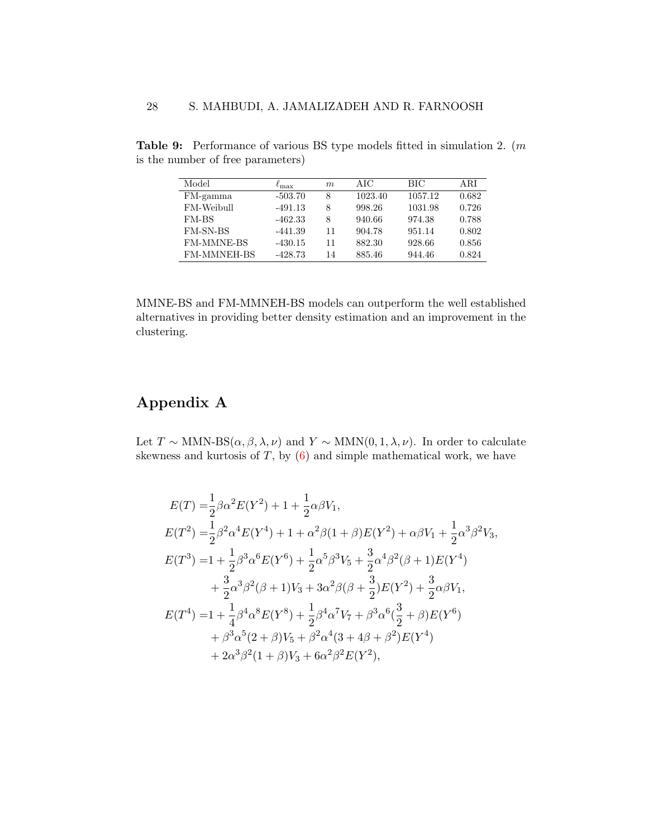| Model              | $\ell_{\rm max}$ | m  | AIC     | <b>BIC</b> | ARI   |
|--------------------|------------------|----|---------|------------|-------|
| FM-gamma           | $-503.70$        | 8  | 1023.40 | 1057.12    | 0.682 |
| FM-Weibull         | $-491.13$        | 8  | 998.26  | 1031.98    | 0.726 |
| FM-BS              | $-462.33$        | 8  | 940.66  | 974.38     | 0.788 |
| <b>FM-SN-BS</b>    | $-441.39$        | 11 | 904.78  | 951.14     | 0.802 |
| <b>FM-MMNE-BS</b>  | $-430.15$        | 11 | 882.30  | 928.66     | 0.856 |
| <b>FM-MMNEH-BS</b> | $-428.73$        | 14 | 885.46  | 944.46     | 0.824 |

<span id="page-27-0"></span>Table 9: Performance of various BS type models fitted in simulation 2. (m is the number of free parameters)

MMNE-BS and FM-MMNEH-BS models can outperform the well established alternatives in providing better density estimation and an improvement in the clustering.

# Appendix A

Let  $T \sim \text{MMN-BS}(\alpha, \beta, \lambda, \nu)$  and  $Y \sim \text{MMN}(0, 1, \lambda, \nu)$ . In order to calculate skewness and kurtosis of  $T$ , by  $(6)$  and simple mathematical work, we have

$$
E(T) = \frac{1}{2}\beta\alpha^{2}E(Y^{2}) + 1 + \frac{1}{2}\alpha\beta V_{1},
$$
  
\n
$$
E(T^{2}) = \frac{1}{2}\beta^{2}\alpha^{4}E(Y^{4}) + 1 + \alpha^{2}\beta(1+\beta)E(Y^{2}) + \alpha\beta V_{1} + \frac{1}{2}\alpha^{3}\beta^{2}V_{3},
$$
  
\n
$$
E(T^{3}) = 1 + \frac{1}{2}\beta^{3}\alpha^{6}E(Y^{6}) + \frac{1}{2}\alpha^{5}\beta^{3}V_{5} + \frac{3}{2}\alpha^{4}\beta^{2}(\beta+1)E(Y^{4})
$$
  
\n
$$
+ \frac{3}{2}\alpha^{3}\beta^{2}(\beta+1)V_{3} + 3\alpha^{2}\beta(\beta+\frac{3}{2})E(Y^{2}) + \frac{3}{2}\alpha\beta V_{1},
$$
  
\n
$$
E(T^{4}) = 1 + \frac{1}{4}\beta^{4}\alpha^{8}E(Y^{8}) + \frac{1}{2}\beta^{4}\alpha^{7}V_{7} + \beta^{3}\alpha^{6}(\frac{3}{2}+\beta)E(Y^{6})
$$
  
\n
$$
+ \beta^{3}\alpha^{5}(2+\beta)V_{5} + \beta^{2}\alpha^{4}(3+4\beta+\beta^{2})E(Y^{4})
$$
  
\n
$$
+ 2\alpha^{3}\beta^{2}(1+\beta)V_{3} + 6\alpha^{2}\beta^{2}E(Y^{2}),
$$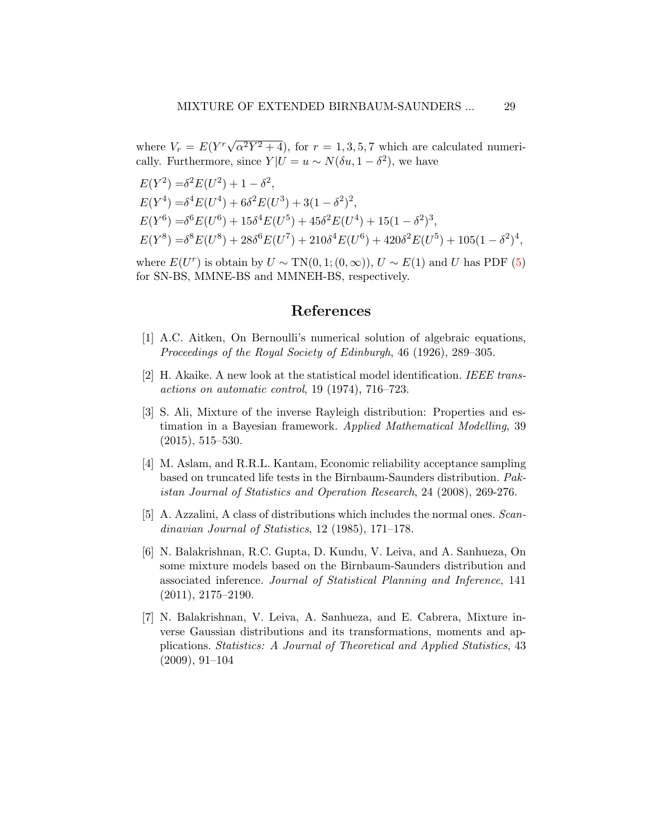where  $V_r = E(Y^r \sqrt{\frac{F_r}{r}})$  $\alpha^2 Y^2 + 4$ , for  $r = 1, 3, 5, 7$  which are calculated numerically. Furthermore, since  $Y|U = u \sim N(\delta u, 1 - \delta^2)$ , we have

$$
E(Y^2) = \delta^2 E(U^2) + 1 - \delta^2,
$$
  
\n
$$
E(Y^4) = \delta^4 E(U^4) + 6\delta^2 E(U^3) + 3(1 - \delta^2)^2,
$$
  
\n
$$
E(Y^6) = \delta^6 E(U^6) + 15\delta^4 E(U^5) + 45\delta^2 E(U^4) + 15(1 - \delta^2)^3,
$$
  
\n
$$
E(Y^8) = \delta^8 E(U^8) + 28\delta^6 E(U^7) + 210\delta^4 E(U^6) + 420\delta^2 E(U^5) + 105(1 - \delta^2)^4,
$$

where  $E(U^r)$  is obtain by  $U \sim TN(0, 1; (0, \infty)), U \sim E(1)$  and U has PDF [\(5\)](#page-5-0) for SN-BS, MMNE-BS and MMNEH-BS, respectively.

### References

- <span id="page-28-4"></span>[1] A.C. Aitken, On Bernoulli's numerical solution of algebraic equations, Proceedings of the Royal Society of Edinburgh, 46 (1926), 289–305.
- <span id="page-28-5"></span>[2] H. Akaike. A new look at the statistical model identification. IEEE transactions on automatic control, 19 (1974), 716–723.
- <span id="page-28-0"></span>[3] S. Ali, Mixture of the inverse Rayleigh distribution: Properties and estimation in a Bayesian framework. Applied Mathematical Modelling, 39 (2015), 515–530.
- <span id="page-28-2"></span>[4] M. Aslam, and R.R.L. Kantam, Economic reliability acceptance sampling based on truncated life tests in the Birnbaum-Saunders distribution. Pakistan Journal of Statistics and Operation Research, 24 (2008), 269-276.
- <span id="page-28-3"></span>[5] A. Azzalini, A class of distributions which includes the normal ones. Scandinavian Journal of Statistics, 12 (1985), 171–178.
- <span id="page-28-6"></span>[6] N. Balakrishnan, R.C. Gupta, D. Kundu, V. Leiva, and A. Sanhueza, On some mixture models based on the Birnbaum-Saunders distribution and associated inference. Journal of Statistical Planning and Inference, 141 (2011), 2175–2190.
- <span id="page-28-1"></span>[7] N. Balakrishnan, V. Leiva, A. Sanhueza, and E. Cabrera, Mixture inverse Gaussian distributions and its transformations, moments and applications. Statistics: A Journal of Theoretical and Applied Statistics, 43 (2009), 91–104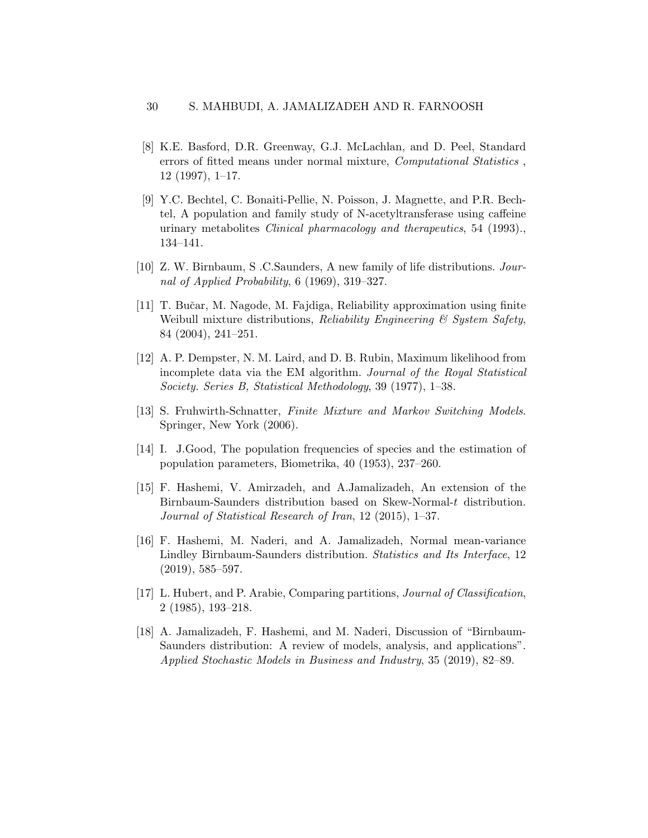- <span id="page-29-7"></span>[8] K.E. Basford, D.R. Greenway, G.J. McLachlan, and D. Peel, Standard errors of fitted means under normal mixture, Computational Statistics , 12 (1997), 1–17.
- <span id="page-29-8"></span>[9] Y.C. Bechtel, C. Bonaiti-Pellie, N. Poisson, J. Magnette, and P.R. Bechtel, A population and family study of N-acetyltransferase using caffeine urinary metabolites Clinical pharmacology and therapeutics, 54 (1993)., 134–141.
- <span id="page-29-2"></span>[10] Z. W. Birnbaum, S .C.Saunders, A new family of life distributions. Journal of Applied Probability, 6 (1969), 319–327.
- <span id="page-29-0"></span>[11] T. Buˇcar, M. Nagode, M. Fajdiga, Reliability approximation using finite Weibull mixture distributions, Reliability Engineering  $\mathcal C$  System Safety, 84 (2004), 241–251.
- <span id="page-29-6"></span>[12] A. P. Dempster, N. M. Laird, and D. B. Rubin, Maximum likelihood from incomplete data via the EM algorithm. Journal of the Royal Statistical Society. Series B, Statistical Methodology, 39 (1977), 1–38.
- <span id="page-29-1"></span>[13] S. Fruhwirth-Schnatter, Finite Mixture and Markov Switching Models. Springer, New York (2006).
- <span id="page-29-9"></span>[14] I. J.Good, The population frequencies of species and the estimation of population parameters, Biometrika, 40 (1953), 237–260.
- <span id="page-29-4"></span>[15] F. Hashemi, V. Amirzadeh, and A.Jamalizadeh, An extension of the Birnbaum-Saunders distribution based on Skew-Normal-t distribution. Journal of Statistical Research of Iran, 12 (2015), 1–37.
- <span id="page-29-5"></span>[16] F. Hashemi, M. Naderi, and A. Jamalizadeh, Normal mean-variance Lindley Birnbaum-Saunders distribution. Statistics and Its Interface, 12 (2019), 585–597.
- <span id="page-29-10"></span>[17] L. Hubert, and P. Arabie, Comparing partitions, Journal of Classification, 2 (1985), 193–218.
- <span id="page-29-3"></span>[18] A. Jamalizadeh, F. Hashemi, and M. Naderi, Discussion of "Birnbaum-Saunders distribution: A review of models, analysis, and applications". Applied Stochastic Models in Business and Industry, 35 (2019), 82–89.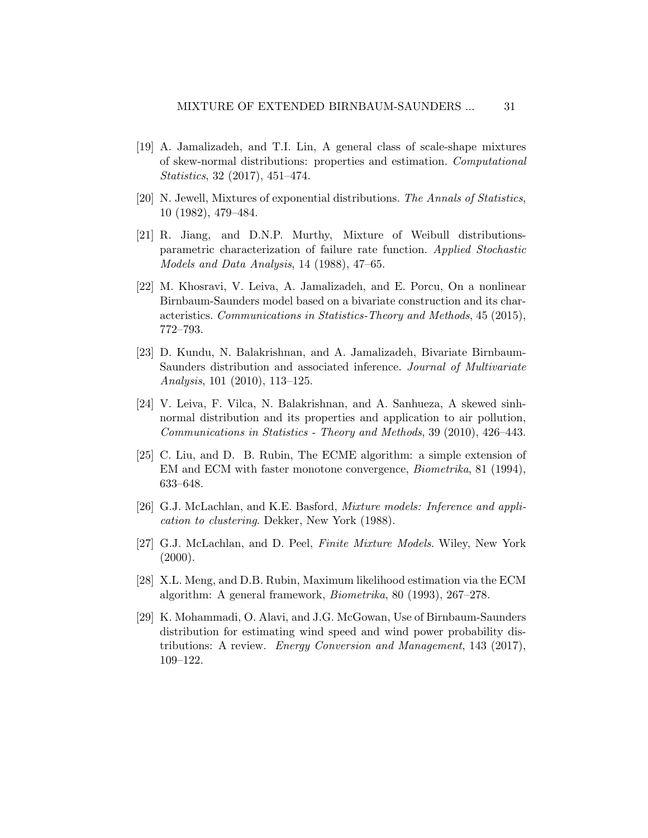- <span id="page-30-2"></span>[19] A. Jamalizadeh, and T.I. Lin, A general class of scale-shape mixtures of skew-normal distributions: properties and estimation. Computational Statistics, 32 (2017), 451–474.
- <span id="page-30-4"></span>[20] N. Jewell, Mixtures of exponential distributions. The Annals of Statistics, 10 (1982), 479–484.
- <span id="page-30-3"></span>[21] R. Jiang, and D.N.P. Murthy, Mixture of Weibull distributionsparametric characterization of failure rate function. Applied Stochastic Models and Data Analysis, 14 (1988), 47–65.
- <span id="page-30-6"></span>[22] M. Khosravi, V. Leiva, A. Jamalizadeh, and E. Porcu, On a nonlinear Birnbaum-Saunders model based on a bivariate construction and its characteristics. Communications in Statistics-Theory and Methods, 45 (2015), 772–793.
- [23] D. Kundu, N. Balakrishnan, and A. Jamalizadeh, Bivariate Birnbaum-Saunders distribution and associated inference. Journal of Multivariate Analysis, 101 (2010), 113–125.
- <span id="page-30-7"></span>[24] V. Leiva, F. Vilca, N. Balakrishnan, and A. Sanhueza, A skewed sinhnormal distribution and its properties and application to air pollution, Communications in Statistics - Theory and Methods, 39 (2010), 426–443.
- <span id="page-30-9"></span>[25] C. Liu, and D. B. Rubin, The ECME algorithm: a simple extension of EM and ECM with faster monotone convergence, Biometrika, 81 (1994), 633–648.
- <span id="page-30-0"></span>[26] G.J. McLachlan, and K.E. Basford, *Mixture models: Inference and appli*cation to clustering. Dekker, New York (1988).
- <span id="page-30-1"></span>[27] G.J. McLachlan, and D. Peel, Finite Mixture Models. Wiley, New York  $(2000).$
- <span id="page-30-8"></span>[28] X.L. Meng, and D.B. Rubin, Maximum likelihood estimation via the ECM algorithm: A general framework, Biometrika, 80 (1993), 267–278.
- <span id="page-30-5"></span>[29] K. Mohammadi, O. Alavi, and J.G. McGowan, Use of Birnbaum-Saunders distribution for estimating wind speed and wind power probability distributions: A review. Energy Conversion and Management, 143 (2017), 109–122.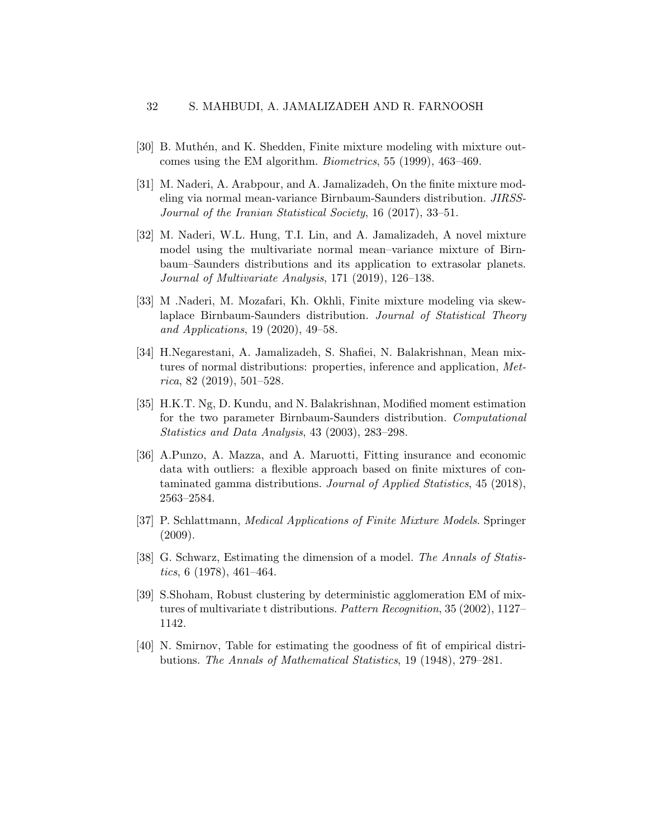- <span id="page-31-0"></span>[30] B. Muthén, and K. Shedden, Finite mixture modeling with mixture outcomes using the EM algorithm. Biometrics, 55 (1999), 463–469.
- <span id="page-31-3"></span>[31] M. Naderi, A. Arabpour, and A. Jamalizadeh, On the finite mixture modeling via normal mean-variance Birnbaum-Saunders distribution. JIRSS-Journal of the Iranian Statistical Society, 16 (2017), 33–51.
- <span id="page-31-4"></span>[32] M. Naderi, W.L. Hung, T.I. Lin, and A. Jamalizadeh, A novel mixture model using the multivariate normal mean–variance mixture of Birnbaum–Saunders distributions and its application to extrasolar planets. Journal of Multivariate Analysis, 171 (2019), 126–138.
- [33] M .Naderi, M. Mozafari, Kh. Okhli, Finite mixture modeling via skewlaplace Birnbaum-Saunders distribution. Journal of Statistical Theory and Applications, 19 (2020), 49–58.
- <span id="page-31-6"></span>[34] H.Negarestani, A. Jamalizadeh, S. Shafiei, N. Balakrishnan, Mean mixtures of normal distributions: properties, inference and application, Met $rica, 82 (2019), 501-528.$
- <span id="page-31-7"></span>[35] H.K.T. Ng, D. Kundu, and N. Balakrishnan, Modified moment estimation for the two parameter Birnbaum-Saunders distribution. Computational Statistics and Data Analysis, 43 (2003), 283–298.
- <span id="page-31-5"></span>[36] A.Punzo, A. Mazza, and A. Maruotti, Fitting insurance and economic data with outliers: a flexible approach based on finite mixtures of contaminated gamma distributions. Journal of Applied Statistics, 45 (2018), 2563–2584.
- <span id="page-31-1"></span>[37] P. Schlattmann, Medical Applications of Finite Mixture Models. Springer (2009).
- <span id="page-31-8"></span>[38] G. Schwarz, Estimating the dimension of a model. The Annals of Statistics, 6 (1978), 461–464.
- <span id="page-31-2"></span>[39] S.Shoham, Robust clustering by deterministic agglomeration EM of mixtures of multivariate t distributions. Pattern Recognition, 35 (2002), 1127– 1142.
- <span id="page-31-9"></span>[40] N. Smirnov, Table for estimating the goodness of fit of empirical distributions. The Annals of Mathematical Statistics, 19 (1948), 279–281.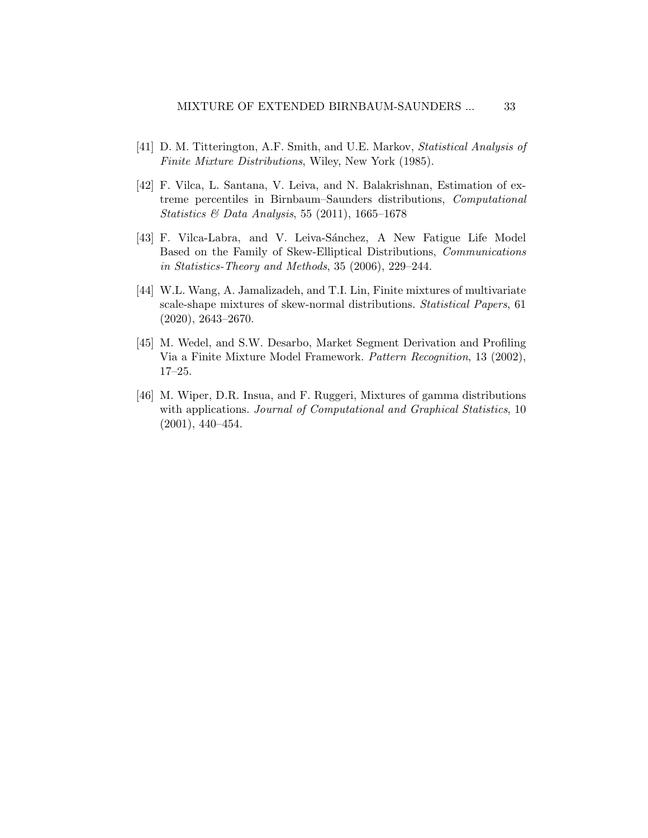- <span id="page-32-1"></span>[41] D. M. Titterington, A.F. Smith, and U.E. Markov, Statistical Analysis of Finite Mixture Distributions, Wiley, New York (1985).
- <span id="page-32-5"></span>[42] F. Vilca, L. Santana, V. Leiva, and N. Balakrishnan, Estimation of extreme percentiles in Birnbaum–Saunders distributions, Computational Statistics & Data Analysis, 55 (2011), 1665–1678
- <span id="page-32-4"></span>[43] F. Vilca-Labra, and V. Leiva-Sánchez, A New Fatigue Life Model Based on the Family of Skew-Elliptical Distributions, Communications in Statistics-Theory and Methods, 35 (2006), 229–244.
- <span id="page-32-2"></span>[44] W.L. Wang, A. Jamalizadeh, and T.I. Lin, Finite mixtures of multivariate scale-shape mixtures of skew-normal distributions. Statistical Papers, 61 (2020), 2643–2670.
- <span id="page-32-0"></span>[45] M. Wedel, and S.W. Desarbo, Market Segment Derivation and Profiling Via a Finite Mixture Model Framework. Pattern Recognition, 13 (2002), 17–25.
- <span id="page-32-3"></span>[46] M. Wiper, D.R. Insua, and F. Ruggeri, Mixtures of gamma distributions with applications. Journal of Computational and Graphical Statistics, 10 (2001), 440–454.